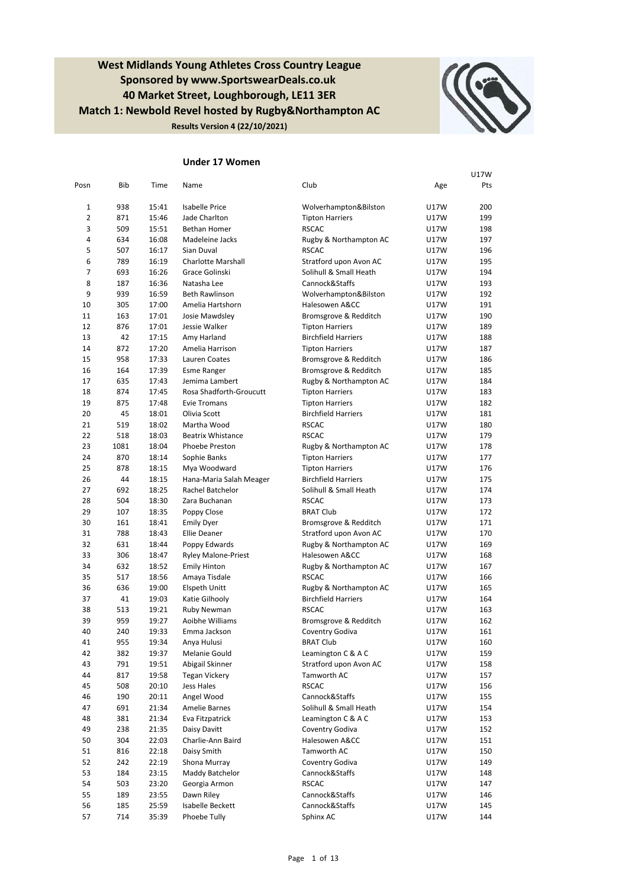**West Midlands Young Athletes Cross Country League Sponsored by www.SportswearDeals.co.uk 40 Market Street, Loughborough, LE11 3ER Match 1: Newbold Revel hosted by Rugby&Northampton AC Results Version 4 (22/10/2021)**



### **Under 17 Women**

|                |      |       |                            |                            |      | U17W |
|----------------|------|-------|----------------------------|----------------------------|------|------|
| Posn           | Bib  | Time  | Name                       | Club                       | Age  | Pts  |
| 1              | 938  | 15:41 | <b>Isabelle Price</b>      | Wolverhampton&Bilston      | U17W | 200  |
| $\overline{2}$ | 871  | 15:46 | Jade Charlton              | <b>Tipton Harriers</b>     | U17W | 199  |
| 3              | 509  | 15:51 | Bethan Homer               | <b>RSCAC</b>               | U17W | 198  |
| 4              | 634  | 16:08 | Madeleine Jacks            | Rugby & Northampton AC     | U17W | 197  |
| 5              | 507  | 16:17 | Sian Duval                 | <b>RSCAC</b>               | U17W | 196  |
| 6              | 789  | 16:19 | <b>Charlotte Marshall</b>  | Stratford upon Avon AC     | U17W | 195  |
| 7              | 693  | 16:26 | Grace Golinski             | Solihull & Small Heath     | U17W | 194  |
| 8              | 187  | 16:36 | Natasha Lee                | Cannock&Staffs             | U17W | 193  |
| 9              | 939  | 16:59 | <b>Beth Rawlinson</b>      | Wolverhampton&Bilston      | U17W | 192  |
| 10             | 305  | 17:00 | Amelia Hartshorn           | Halesowen A&CC             | U17W | 191  |
| 11             | 163  | 17:01 | Josie Mawdsley             | Bromsgrove & Redditch      | U17W | 190  |
| 12             | 876  | 17:01 | Jessie Walker              | <b>Tipton Harriers</b>     | U17W | 189  |
| 13             | 42   | 17:15 | Amy Harland                | <b>Birchfield Harriers</b> | U17W | 188  |
| 14             | 872  | 17:20 | Amelia Harrison            | <b>Tipton Harriers</b>     | U17W | 187  |
| 15             | 958  | 17:33 | Lauren Coates              | Bromsgrove & Redditch      | U17W | 186  |
| 16             | 164  | 17:39 | <b>Esme Ranger</b>         | Bromsgrove & Redditch      | U17W | 185  |
| 17             | 635  | 17:43 | Jemima Lambert             | Rugby & Northampton AC     | U17W | 184  |
| 18             | 874  | 17:45 | Rosa Shadforth-Groucutt    | <b>Tipton Harriers</b>     | U17W | 183  |
| 19             | 875  | 17:48 | <b>Evie Tromans</b>        | <b>Tipton Harriers</b>     | U17W | 182  |
| 20             | 45   | 18:01 | Olivia Scott               | <b>Birchfield Harriers</b> | U17W | 181  |
| 21             | 519  | 18:02 | Martha Wood                | <b>RSCAC</b>               | U17W | 180  |
| 22             | 518  | 18:03 | <b>Beatrix Whistance</b>   | <b>RSCAC</b>               | U17W | 179  |
| 23             | 1081 | 18:04 | Phoebe Preston             | Rugby & Northampton AC     | U17W | 178  |
| 24             | 870  | 18:14 | Sophie Banks               | <b>Tipton Harriers</b>     | U17W | 177  |
| 25             | 878  | 18:15 | Mya Woodward               | <b>Tipton Harriers</b>     | U17W | 176  |
| 26             | 44   | 18:15 | Hana-Maria Salah Meager    | <b>Birchfield Harriers</b> | U17W | 175  |
| 27             | 692  | 18:25 | Rachel Batchelor           | Solihull & Small Heath     | U17W | 174  |
| 28             | 504  | 18:30 | Zara Buchanan              | <b>RSCAC</b>               | U17W | 173  |
| 29             | 107  | 18:35 | Poppy Close                | <b>BRAT Club</b>           | U17W | 172  |
| 30             | 161  | 18:41 | <b>Emily Dyer</b>          | Bromsgrove & Redditch      | U17W | 171  |
| 31             | 788  | 18:43 | <b>Ellie Deaner</b>        | Stratford upon Avon AC     | U17W | 170  |
| 32             | 631  | 18:44 | Poppy Edwards              | Rugby & Northampton AC     | U17W | 169  |
| 33             | 306  | 18:47 | <b>Ryley Malone-Priest</b> | Halesowen A&CC             | U17W | 168  |
| 34             | 632  | 18:52 | <b>Emily Hinton</b>        | Rugby & Northampton AC     | U17W | 167  |
| 35             | 517  | 18:56 | Amaya Tisdale              | <b>RSCAC</b>               | U17W | 166  |
| 36             | 636  | 19:00 | Elspeth Unitt              | Rugby & Northampton AC     | U17W | 165  |
| 37             | 41   | 19:03 | Katie Gilhooly             | <b>Birchfield Harriers</b> | U17W | 164  |
| 38             | 513  | 19:21 | Ruby Newman                | <b>RSCAC</b>               | U17W | 163  |
| 39             | 959  | 19:27 | Aoibhe Williams            | Bromsgrove & Redditch      | U17W | 162  |
| 40             | 240  | 19:33 | Emma Jackson               | Coventry Godiva            | U17W | 161  |
| 41             | 955  | 19:34 | Anya Hulusi                | <b>BRAT Club</b>           | U17W | 160  |
| 42             | 382  | 19:37 | Melanie Gould              | Leamington C & A C         | U17W | 159  |
| 43             | 791  | 19:51 | Abigail Skinner            | Stratford upon Avon AC     | U17W | 158  |
| 44             | 817  | 19:58 | <b>Tegan Vickery</b>       | Tamworth AC                | U17W | 157  |
| 45             | 508  | 20:10 | <b>Jess Hales</b>          | <b>RSCAC</b>               | U17W | 156  |
| 46             | 190  | 20:11 | Angel Wood                 | Cannock&Staffs             | U17W | 155  |
| 47             | 691  | 21:34 | Amelie Barnes              | Solihull & Small Heath     | U17W | 154  |
| 48             | 381  | 21:34 | Eva Fitzpatrick            | Leamington C & A C         | U17W | 153  |
| 49             | 238  | 21:35 | Daisy Davitt               | Coventry Godiva            | U17W | 152  |
| 50             | 304  | 22:03 | Charlie-Ann Baird          | Halesowen A&CC             | U17W | 151  |
| 51             | 816  | 22:18 | Daisy Smith                | Tamworth AC                | U17W | 150  |
| 52             | 242  | 22:19 | Shona Murray               | Coventry Godiva            | U17W | 149  |
| 53             | 184  | 23:15 | Maddy Batchelor            | Cannock&Staffs             | U17W | 148  |
| 54             | 503  | 23:20 | Georgia Armon              | <b>RSCAC</b>               | U17W | 147  |
| 55             | 189  | 23:55 | Dawn Riley                 | Cannock&Staffs             | U17W | 146  |
| 56             | 185  | 25:59 | Isabelle Beckett           | Cannock&Staffs             | U17W | 145  |
| 57             | 714  | 35:39 | Phoebe Tully               | Sphinx AC                  | U17W | 144  |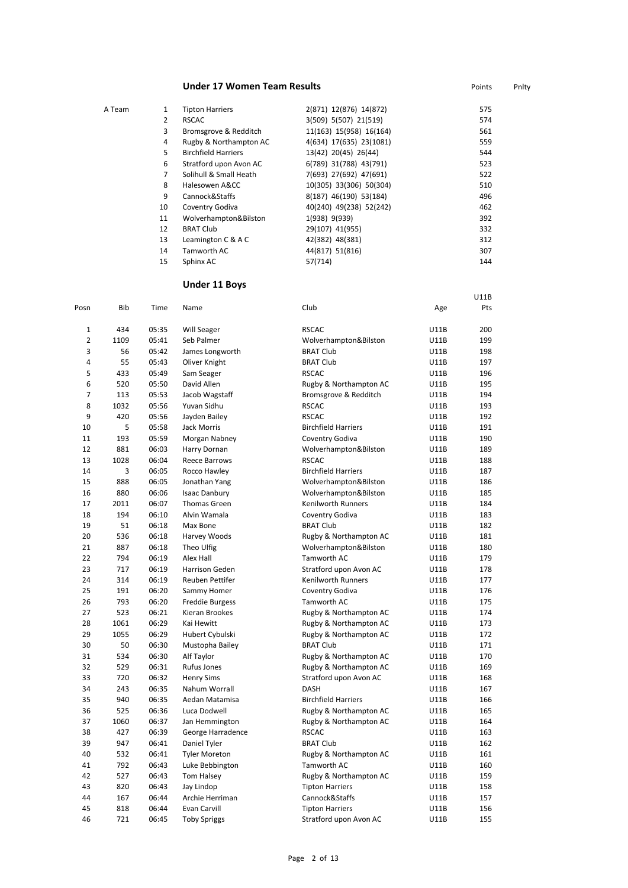### **Under 17 Women Team Results Points** Points Points Phity

| A Team | 1  | <b>Tipton Harriers</b>     | 2(871) 12(876) 14(872)  | 575 |
|--------|----|----------------------------|-------------------------|-----|
|        | 2  | <b>RSCAC</b>               | 3(509) 5(507) 21(519)   | 574 |
|        | 3  | Bromsgrove & Redditch      | 11(163) 15(958) 16(164) | 561 |
|        | 4  | Rugby & Northampton AC     | 4(634) 17(635) 23(1081) | 559 |
|        | 5  | <b>Birchfield Harriers</b> | 13(42) 20(45) 26(44)    | 544 |
|        | 6  | Stratford upon Avon AC     | 6(789) 31(788) 43(791)  | 523 |
|        | 7  | Solihull & Small Heath     | 7(693) 27(692) 47(691)  | 522 |
|        | 8  | Halesowen A&CC             | 10(305) 33(306) 50(304) | 510 |
|        | 9  | Cannock&Staffs             | 8(187) 46(190) 53(184)  | 496 |
|        | 10 | Coventry Godiva            | 40(240) 49(238) 52(242) | 462 |
|        | 11 | Wolverhampton&Bilston      | 1(938) 9(939)           | 392 |
|        | 12 | <b>BRAT Club</b>           | 29(107) 41(955)         | 332 |
|        | 13 | Leamington C & A C         | 42(382) 48(381)         | 312 |
|        | 14 | Tamworth AC                | 44(817) 51(816)         | 307 |
|        | 15 | Sphinx AC                  | 57(714)                 | 144 |

U11B

# **Under 11 Boys**

| Posn           | Bib  | Time  | Name                   | Club                       | Age  | Pts |
|----------------|------|-------|------------------------|----------------------------|------|-----|
| $\mathbf 1$    | 434  | 05:35 | Will Seager            | <b>RSCAC</b>               | U11B | 200 |
| $\overline{2}$ | 1109 | 05:41 | Seb Palmer             | Wolverhampton&Bilston      | U11B | 199 |
| 3              | 56   | 05:42 | James Longworth        | <b>BRAT Club</b>           | U11B | 198 |
| 4              | 55   | 05:43 | Oliver Knight          | <b>BRAT Club</b>           | U11B | 197 |
| 5              | 433  | 05:49 | Sam Seager             | <b>RSCAC</b>               | U11B | 196 |
| 6              | 520  | 05:50 | David Allen            | Rugby & Northampton AC     | U11B | 195 |
| 7              | 113  | 05:53 | Jacob Wagstaff         | Bromsgrove & Redditch      | U11B | 194 |
| 8              | 1032 | 05:56 | Yuvan Sidhu            | <b>RSCAC</b>               | U11B | 193 |
| 9              | 420  | 05:56 | Jayden Bailey          | <b>RSCAC</b>               | U11B | 192 |
| 10             | 5    | 05:58 | Jack Morris            | <b>Birchfield Harriers</b> | U11B | 191 |
| 11             | 193  | 05:59 | Morgan Nabney          | Coventry Godiva            | U11B | 190 |
| 12             | 881  | 06:03 | Harry Dornan           | Wolverhampton&Bilston      | U11B | 189 |
| 13             | 1028 | 06:04 | Reece Barrows          | <b>RSCAC</b>               | U11B | 188 |
| 14             | 3    | 06:05 | Rocco Hawley           | <b>Birchfield Harriers</b> | U11B | 187 |
| 15             | 888  | 06:05 | Jonathan Yang          | Wolverhampton&Bilston      | U11B | 186 |
| 16             | 880  | 06:06 | <b>Isaac Danbury</b>   | Wolverhampton&Bilston      | U11B | 185 |
| 17             | 2011 | 06:07 | Thomas Green           | Kenilworth Runners         | U11B | 184 |
| 18             | 194  | 06:10 | Alvin Wamala           | Coventry Godiva            | U11B | 183 |
| 19             | 51   | 06:18 | Max Bone               | <b>BRAT Club</b>           | U11B | 182 |
| 20             | 536  | 06:18 | Harvey Woods           | Rugby & Northampton AC     | U11B | 181 |
| 21             | 887  | 06:18 | Theo Ulfig             | Wolverhampton&Bilston      | U11B | 180 |
| 22             | 794  | 06:19 | Alex Hall              | Tamworth AC                | U11B | 179 |
| 23             | 717  | 06:19 | Harrison Geden         | Stratford upon Avon AC     | U11B | 178 |
| 24             | 314  | 06:19 | Reuben Pettifer        | <b>Kenilworth Runners</b>  | U11B | 177 |
| 25             | 191  | 06:20 | Sammy Homer            | Coventry Godiva            | U11B | 176 |
| 26             | 793  | 06:20 | <b>Freddie Burgess</b> | Tamworth AC                | U11B | 175 |
| 27             | 523  | 06:21 | Kieran Brookes         | Rugby & Northampton AC     | U11B | 174 |
| 28             | 1061 | 06:29 | Kai Hewitt             | Rugby & Northampton AC     | U11B | 173 |
| 29             | 1055 | 06:29 | Hubert Cybulski        | Rugby & Northampton AC     | U11B | 172 |
| 30             | 50   | 06:30 | Mustopha Bailey        | <b>BRAT Club</b>           | U11B | 171 |
| 31             | 534  | 06:30 | Alf Taylor             | Rugby & Northampton AC     | U11B | 170 |
| 32             | 529  | 06:31 | Rufus Jones            | Rugby & Northampton AC     | U11B | 169 |
| 33             | 720  | 06:32 | <b>Henry Sims</b>      | Stratford upon Avon AC     | U11B | 168 |
| 34             | 243  | 06:35 | Nahum Worrall          | <b>DASH</b>                | U11B | 167 |
| 35             | 940  | 06:35 | Aedan Matamisa         | <b>Birchfield Harriers</b> | U11B | 166 |
| 36             | 525  | 06:36 | Luca Dodwell           | Rugby & Northampton AC     | U11B | 165 |
| 37             | 1060 | 06:37 | Jan Hemmington         | Rugby & Northampton AC     | U11B | 164 |
| 38             | 427  | 06:39 | George Harradence      | <b>RSCAC</b>               | U11B | 163 |
| 39             | 947  | 06:41 | Daniel Tyler           | <b>BRAT Club</b>           | U11B | 162 |
| 40             | 532  | 06:41 | <b>Tyler Moreton</b>   | Rugby & Northampton AC     | U11B | 161 |
| 41             | 792  | 06:43 | Luke Bebbington        | Tamworth AC                | U11B | 160 |
| 42             | 527  | 06:43 | Tom Halsey             | Rugby & Northampton AC     | U11B | 159 |
| 43             | 820  | 06:43 | Jay Lindop             | <b>Tipton Harriers</b>     | U11B | 158 |
| 44             | 167  | 06:44 | Archie Herriman        | Cannock&Staffs             | U11B | 157 |
| 45             | 818  | 06:44 | Evan Carvill           | <b>Tipton Harriers</b>     | U11B | 156 |
| 46             | 721  | 06:45 | <b>Toby Spriggs</b>    | Stratford upon Avon AC     | U11B | 155 |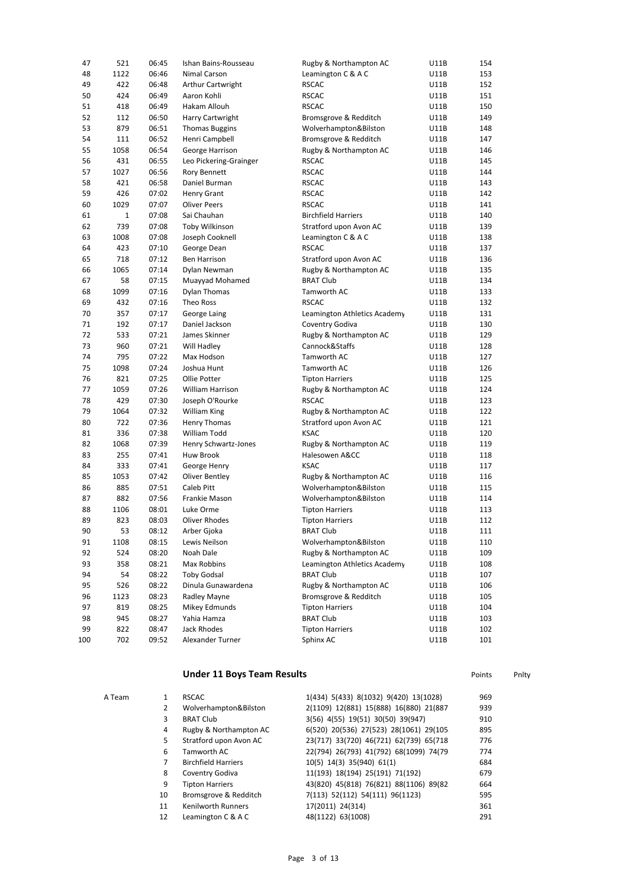| 47  | 521         | 06:45          | Ishan Bains-Rousseau                | Rugby & Northampton AC       | U11B | 154        |
|-----|-------------|----------------|-------------------------------------|------------------------------|------|------------|
| 48  | 1122        | 06:46          | Nimal Carson                        | Leamington C & A C           | U11B | 153        |
| 49  | 422         | 06:48          | <b>Arthur Cartwright</b>            | <b>RSCAC</b>                 | U11B | 152        |
| 50  | 424         | 06:49          | Aaron Kohli                         | <b>RSCAC</b>                 | U11B | 151        |
| 51  | 418         | 06:49          | Hakam Allouh                        | <b>RSCAC</b>                 | U11B | 150        |
| 52  | 112         | 06:50          | Harry Cartwright                    | Bromsgrove & Redditch        | U11B | 149        |
| 53  | 879         | 06:51          | <b>Thomas Buggins</b>               | Wolverhampton&Bilston        | U11B | 148        |
| 54  | 111         | 06:52          | Henri Campbell                      | Bromsgrove & Redditch        | U11B | 147        |
| 55  | 1058        | 06:54          | George Harrison                     | Rugby & Northampton AC       | U11B | 146        |
| 56  | 431         | 06:55          | Leo Pickering-Grainger              | <b>RSCAC</b>                 | U11B | 145        |
| 57  | 1027        | 06:56          | <b>Rory Bennett</b>                 | <b>RSCAC</b>                 | U11B | 144        |
| 58  | 421         | 06:58          | Daniel Burman                       | <b>RSCAC</b>                 | U11B | 143        |
| 59  | 426         | 07:02          | <b>Henry Grant</b>                  | <b>RSCAC</b>                 | U11B | 142        |
| 60  | 1029        | 07:07          | <b>Oliver Peers</b>                 | <b>RSCAC</b>                 | U11B | 141        |
| 61  | 1           | 07:08          | Sai Chauhan                         | <b>Birchfield Harriers</b>   | U11B | 140        |
| 62  | 739         | 07:08          | Toby Wilkinson                      | Stratford upon Avon AC       | U11B | 139        |
| 63  | 1008        | 07:08          | Joseph Cooknell                     | Leamington C & A C           | U11B | 138        |
| 64  | 423         | 07:10          | George Dean                         | <b>RSCAC</b>                 | U11B | 137        |
| 65  | 718         | 07:12          | <b>Ben Harrison</b>                 | Stratford upon Avon AC       | U11B | 136        |
| 66  | 1065        | 07:14          | Dylan Newman                        | Rugby & Northampton AC       | U11B | 135        |
| 67  | 58          | 07:15          | Muayyad Mohamed                     | <b>BRAT Club</b>             | U11B | 134        |
| 68  | 1099        | 07:16          | <b>Dylan Thomas</b>                 | Tamworth AC                  | U11B | 133        |
| 69  | 432         | 07:16          | Theo Ross                           | <b>RSCAC</b>                 | U11B | 132        |
| 70  | 357         | 07:17          | George Laing                        | Leamington Athletics Academy | U11B | 131        |
| 71  | 192         | 07:17          | Daniel Jackson                      | Coventry Godiva              | U11B | 130        |
| 72  | 533         | 07:21          | James Skinner                       | Rugby & Northampton AC       | U11B | 129        |
| 73  | 960         | 07:21          | Will Hadley                         | Cannock&Staffs               | U11B | 128        |
| 74  | 795         | 07:22          | Max Hodson                          | Tamworth AC                  | U11B | 127        |
| 75  | 1098        | 07:24          | Joshua Hunt                         | Tamworth AC                  | U11B | 126        |
| 76  | 821         | 07:25          | Ollie Potter                        |                              |      | 125        |
| 77  |             | 07:26          |                                     | <b>Tipton Harriers</b>       | U11B |            |
| 78  | 1059        |                | William Harrison                    | Rugby & Northampton AC       | U11B | 124        |
| 79  | 429         | 07:30          | Joseph O'Rourke                     | <b>RSCAC</b>                 | U11B | 123<br>122 |
| 80  | 1064<br>722 | 07:32<br>07:36 | William King                        | Rugby & Northampton AC       | U11B | 121        |
|     |             |                | Henry Thomas                        | Stratford upon Avon AC       | U11B |            |
| 81  | 336         | 07:38          | William Todd                        | <b>KSAC</b>                  | U11B | 120        |
| 82  | 1068        | 07:39          | Henry Schwartz-Jones                | Rugby & Northampton AC       | U11B | 119        |
| 83  | 255         | 07:41          | Huw Brook                           | Halesowen A&CC               | U11B | 118        |
| 84  | 333         | 07:41          | George Henry                        | <b>KSAC</b>                  | U11B | 117        |
| 85  | 1053        | 07:42          | <b>Oliver Bentley</b><br>Caleb Pitt | Rugby & Northampton AC       | U11B | 116        |
| 86  | 885         | 07:51          |                                     | Wolverhampton&Bilston        | U11B | 115        |
| 87  | 882         | 07:56          | Frankie Mason                       | Wolverhampton&Bilston        | U11B | 114        |
| 88  | 1106        | 08:01          | Luke Orme                           | <b>Tipton Harriers</b>       | U11B | 113        |
| 89  | 823         | 08:03          | Oliver Rhodes                       | <b>Tipton Harriers</b>       | U11B | 112        |
| 90  | 53          | 08:12          | Arber Gjoka                         | <b>BRAT Club</b>             | U11B | 111        |
| 91  | 1108        | 08:15          | Lewis Neilson                       | Wolverhampton&Bilston        | U11B | 110        |
| 92  | 524         | 08:20          | Noah Dale                           | Rugby & Northampton AC       | U11B | 109        |
| 93  | 358         | 08:21          | Max Robbins                         | Leamington Athletics Academy | U11B | 108        |
| 94  | 54          | 08:22          | <b>Toby Godsal</b>                  | <b>BRAT Club</b>             | U11B | 107        |
| 95  | 526         | 08:22          | Dinula Gunawardena                  | Rugby & Northampton AC       | U11B | 106        |
| 96  | 1123        | 08:23          | Radley Mayne                        | Bromsgrove & Redditch        | U11B | 105        |
| 97  | 819         | 08:25          | Mikey Edmunds                       | <b>Tipton Harriers</b>       | U11B | 104        |
| 98  | 945         | 08:27          | Yahia Hamza                         | <b>BRAT Club</b>             | U11B | 103        |
| 99  | 822         | 08:47          | Jack Rhodes                         | <b>Tipton Harriers</b>       | U11B | 102        |
| 100 | 702         | 09:52          | Alexander Turner                    | Sphinx AC                    | U11B | 101        |

# **Under 11 Boys Team Results Points** Points Pnlty

| A Team |    | <b>RSCAC</b>               | 1(434) 5(433) 8(1032) 9(420) 13(1028)   | 969 |
|--------|----|----------------------------|-----------------------------------------|-----|
|        | 2  | Wolverhampton&Bilston      | 2(1109) 12(881) 15(888) 16(880) 21(887) | 939 |
|        | 3  | <b>BRAT Club</b>           | 3(56) 4(55) 19(51) 30(50) 39(947)       | 910 |
|        | 4  | Rugby & Northampton AC     | 6(520) 20(536) 27(523) 28(1061) 29(105  | 895 |
|        | 5  | Stratford upon Avon AC     | 23(717) 33(720) 46(721) 62(739) 65(718) | 776 |
|        | 6  | Tamworth AC                | 22(794) 26(793) 41(792) 68(1099) 74(79  | 774 |
|        |    | <b>Birchfield Harriers</b> | 10(5) 14(3) 35(940) 61(1)               | 684 |
|        | 8  | Coventry Godiva            | 11(193) 18(194) 25(191) 71(192)         | 679 |
|        | 9  | <b>Tipton Harriers</b>     | 43(820) 45(818) 76(821) 88(1106) 89(82  | 664 |
|        | 10 | Bromsgrove & Redditch      | 7(113) 52(112) 54(111) 96(1123)         | 595 |
|        | 11 | <b>Kenilworth Runners</b>  | 17(2011) 24(314)                        | 361 |
|        | 12 | Leamington C & A C         | 48(1122) 63(1008)                       | 291 |
|        |    |                            |                                         |     |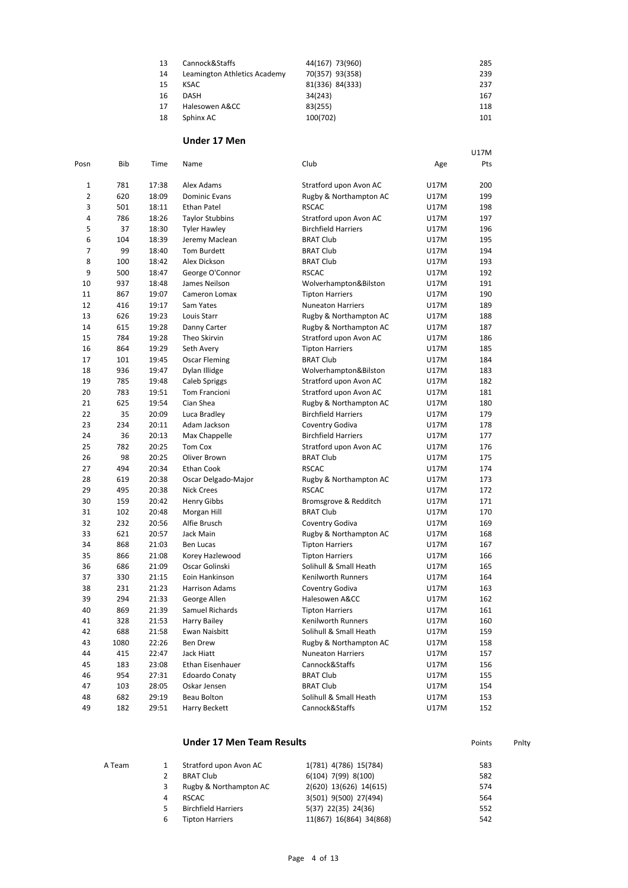| 13 | Cannock&Staffs               | 44(167) 73(960) | 285 |
|----|------------------------------|-----------------|-----|
| 14 | Leamington Athletics Academy | 70(357) 93(358) | 239 |
| 15 | KSAC                         | 81(336) 84(333) | 237 |
| 16 | <b>DASH</b>                  | 34(243)         | 167 |
| 17 | Halesowen A&CC               | 83(255)         | 118 |
| 18 | Sphinx AC                    | 100(702)        | 101 |

U17M

### **Under 17 Men**

| Posn           | Bib  | Time  | Name                   | Club                       | Age  | Pts |
|----------------|------|-------|------------------------|----------------------------|------|-----|
| 1              | 781  | 17:38 | Alex Adams             | Stratford upon Avon AC     | U17M | 200 |
| $\overline{2}$ | 620  | 18:09 | <b>Dominic Evans</b>   | Rugby & Northampton AC     | U17M | 199 |
| 3              | 501  | 18:11 | <b>Ethan Patel</b>     | <b>RSCAC</b>               | U17M | 198 |
| 4              | 786  | 18:26 | <b>Taylor Stubbins</b> | Stratford upon Avon AC     | U17M | 197 |
| 5              | 37   | 18:30 | <b>Tyler Hawley</b>    | <b>Birchfield Harriers</b> | U17M | 196 |
| 6              | 104  | 18:39 | Jeremy Maclean         | <b>BRAT Club</b>           | U17M | 195 |
| 7              | 99   | 18:40 | Tom Burdett            | <b>BRAT Club</b>           | U17M | 194 |
| 8              | 100  | 18:42 | Alex Dickson           | <b>BRAT Club</b>           | U17M | 193 |
| 9              | 500  | 18:47 | George O'Connor        | <b>RSCAC</b>               | U17M | 192 |
| 10             | 937  | 18:48 | James Neilson          | Wolverhampton&Bilston      | U17M | 191 |
| 11             | 867  | 19:07 | Cameron Lomax          | <b>Tipton Harriers</b>     | U17M | 190 |
| 12             | 416  | 19:17 | Sam Yates              | <b>Nuneaton Harriers</b>   | U17M | 189 |
| 13             | 626  | 19:23 | Louis Starr            | Rugby & Northampton AC     | U17M | 188 |
| 14             | 615  | 19:28 | Danny Carter           | Rugby & Northampton AC     | U17M | 187 |
| 15             | 784  | 19:28 | Theo Skirvin           | Stratford upon Avon AC     | U17M | 186 |
| 16             | 864  | 19:29 | Seth Avery             | <b>Tipton Harriers</b>     | U17M | 185 |
| 17             | 101  | 19:45 | Oscar Fleming          | <b>BRAT Club</b>           | U17M | 184 |
| 18             | 936  | 19:47 | Dylan Illidge          | Wolverhampton&Bilston      | U17M | 183 |
| 19             | 785  | 19:48 | <b>Caleb Spriggs</b>   | Stratford upon Avon AC     | U17M | 182 |
| 20             | 783  | 19:51 | Tom Francioni          | Stratford upon Avon AC     | U17M | 181 |
| 21             | 625  | 19:54 | Cian Shea              | Rugby & Northampton AC     | U17M | 180 |
| 22             | 35   | 20:09 | Luca Bradley           | <b>Birchfield Harriers</b> | U17M | 179 |
| 23             | 234  | 20:11 | Adam Jackson           | Coventry Godiva            | U17M | 178 |
| 24             | 36   | 20:13 | Max Chappelle          | <b>Birchfield Harriers</b> | U17M | 177 |
| 25             | 782  | 20:25 | Tom Cox                | Stratford upon Avon AC     | U17M | 176 |
| 26             | 98   | 20:25 | Oliver Brown           | <b>BRAT Club</b>           | U17M | 175 |
| 27             | 494  | 20:34 | Ethan Cook             | <b>RSCAC</b>               | U17M | 174 |
| 28             | 619  | 20:38 | Oscar Delgado-Major    | Rugby & Northampton AC     | U17M | 173 |
| 29             | 495  | 20:38 | <b>Nick Crees</b>      | <b>RSCAC</b>               | U17M | 172 |
| 30             | 159  | 20:42 | Henry Gibbs            | Bromsgrove & Redditch      | U17M | 171 |
| 31             | 102  | 20:48 | Morgan Hill            | <b>BRAT Club</b>           | U17M | 170 |
| 32             | 232  | 20:56 | Alfie Brusch           | Coventry Godiva            | U17M | 169 |
| 33             | 621  | 20:57 | Jack Main              | Rugby & Northampton AC     | U17M | 168 |
| 34             | 868  | 21:03 | Ben Lucas              | <b>Tipton Harriers</b>     | U17M | 167 |
| 35             | 866  | 21:08 | Korey Hazlewood        | <b>Tipton Harriers</b>     | U17M | 166 |
| 36             | 686  | 21:09 | Oscar Golinski         | Solihull & Small Heath     | U17M | 165 |
| 37             | 330  | 21:15 | Eoin Hankinson         | <b>Kenilworth Runners</b>  | U17M | 164 |
| 38             | 231  | 21:23 | Harrison Adams         | Coventry Godiva            | U17M | 163 |
| 39             | 294  | 21:33 | George Allen           | Halesowen A&CC             | U17M | 162 |
| 40             | 869  | 21:39 | Samuel Richards        | <b>Tipton Harriers</b>     | U17M | 161 |
| 41             | 328  | 21:53 | <b>Harry Bailey</b>    | Kenilworth Runners         | U17M | 160 |
| 42             | 688  | 21:58 | Ewan Naisbitt          | Solihull & Small Heath     | U17M | 159 |
| 43             | 1080 | 22:26 | Ben Drew               | Rugby & Northampton AC     | U17M | 158 |
| 44             | 415  | 22:47 | Jack Hiatt             | <b>Nuneaton Harriers</b>   | U17M | 157 |
| 45             | 183  | 23:08 | Ethan Eisenhauer       | Cannock&Staffs             | U17M | 156 |
| 46             | 954  | 27:31 | <b>Edoardo Conaty</b>  | <b>BRAT Club</b>           | U17M | 155 |
| 47             | 103  | 28:05 | Oskar Jensen           | <b>BRAT Club</b>           | U17M | 154 |
| 48             | 682  | 29:19 | Beau Bolton            | Solihull & Small Heath     | U17M | 153 |
| 49             | 182  | 29:51 | Harry Beckett          | Cannock&Staffs             | U17M | 152 |
|                |      |       |                        |                            |      |     |

|        |   | <b>Under 17 Men Team Results</b> |                         | Points | Pnity |
|--------|---|----------------------------------|-------------------------|--------|-------|
| A Team |   | Stratford upon Avon AC           | 1(781) 4(786) 15(784)   | 583    |       |
|        |   | <b>BRAT Club</b>                 | 6(104) 7(99) 8(100)     | 582    |       |
|        | 3 | Rugby & Northampton AC           | 2(620) 13(626) 14(615)  | 574    |       |
|        | 4 | <b>RSCAC</b>                     | 3(501) 9(500) 27(494)   | 564    |       |
|        | 5 | <b>Birchfield Harriers</b>       | 5(37) 22(35) 24(36)     | 552    |       |
|        | 6 | <b>Tipton Harriers</b>           | 11(867) 16(864) 34(868) | 542    |       |
|        |   |                                  |                         |        |       |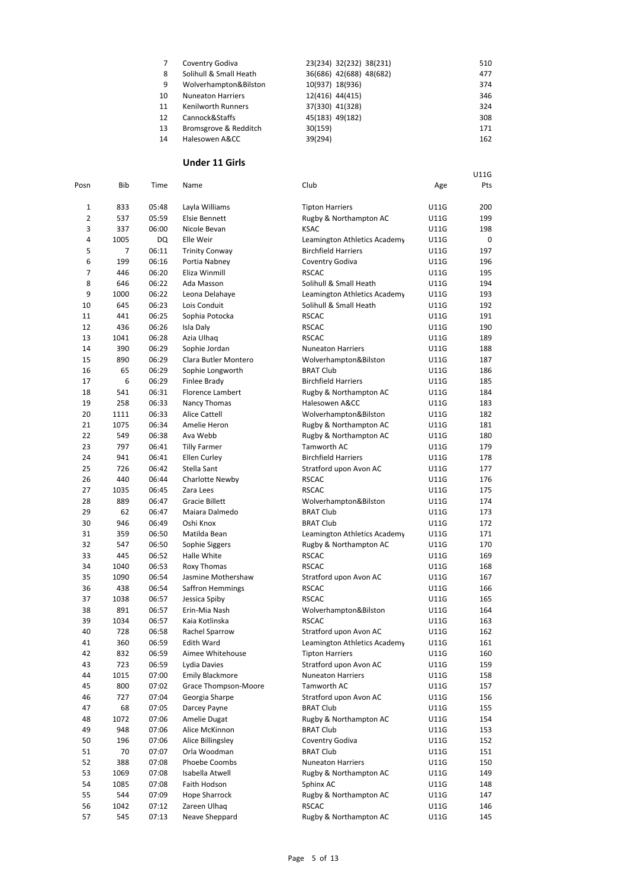|    | Coventry Godiva           | 23(234) 32(232) 38(231) | 510 |
|----|---------------------------|-------------------------|-----|
| 8  | Solihull & Small Heath    | 36(686) 42(688) 48(682) | 477 |
| 9  | Wolverhampton&Bilston     | 10(937) 18(936)         | 374 |
| 10 | <b>Nuneaton Harriers</b>  | 12(416) 44(415)         | 346 |
| 11 | <b>Kenilworth Runners</b> | 37(330) 41(328)         | 324 |
| 12 | Cannock&Staffs            | 45(183) 49(182)         | 308 |
| 13 | Bromsgrove & Redditch     | 30(159)                 | 171 |
| 14 | Halesowen A&CC            | 39(294)                 | 162 |

U11G

## **Under 11 Girls**

| Posn           | Bib  | Time           | Name                    | Club                         | Age         | Pts |
|----------------|------|----------------|-------------------------|------------------------------|-------------|-----|
|                |      |                |                         |                              |             |     |
| 1              | 833  | 05:48          | Layla Williams          | <b>Tipton Harriers</b>       | U11G        | 200 |
| $\overline{2}$ | 537  | 05:59          | <b>Elsie Bennett</b>    | Rugby & Northampton AC       | U11G        | 199 |
| 3              | 337  | 06:00          | Nicole Bevan            | <b>KSAC</b>                  | U11G        | 198 |
| 4              | 1005 | DQ             | Elle Weir               | Leamington Athletics Academy | U11G        | 0   |
| 5              | 7    | 06:11          | <b>Trinity Conway</b>   | <b>Birchfield Harriers</b>   | U11G        | 197 |
| 6              | 199  | 06:16          | Portia Nabney           | Coventry Godiva              | U11G        | 196 |
| 7              | 446  | 06:20          | Eliza Winmill           | <b>RSCAC</b>                 | <b>U11G</b> | 195 |
| 8              | 646  | 06:22          | Ada Masson              | Solihull & Small Heath       | U11G        | 194 |
| 9              | 1000 | 06:22          | Leona Delahaye          | Leamington Athletics Academy | U11G        | 193 |
| 10             | 645  | 06:23          | Lois Conduit            | Solihull & Small Heath       | U11G        | 192 |
| 11             | 441  | 06:25          | Sophia Potocka          | <b>RSCAC</b>                 | U11G        | 191 |
| 12             | 436  | 06:26          | Isla Daly               | <b>RSCAC</b>                 | U11G        | 190 |
| 13             | 1041 | 06:28          | Azia Ulhaq              | <b>RSCAC</b>                 | U11G        | 189 |
| 14             | 390  | 06:29          | Sophie Jordan           | <b>Nuneaton Harriers</b>     | U11G        | 188 |
| 15             | 890  | 06:29          | Clara Butler Montero    | Wolverhampton&Bilston        | U11G        | 187 |
| 16             | 65   | 06:29          | Sophie Longworth        | <b>BRAT Club</b>             | U11G        | 186 |
| 17             | 6    | 06:29          | Finlee Brady            | <b>Birchfield Harriers</b>   | U11G        | 185 |
| 18             | 541  | 06:31          | <b>Florence Lambert</b> | Rugby & Northampton AC       | U11G        | 184 |
| 19             | 258  | 06:33          | Nancy Thomas            | Halesowen A&CC               | U11G        | 183 |
| 20             | 1111 | 06:33          | <b>Alice Cattell</b>    | Wolverhampton&Bilston        | U11G        | 182 |
| 21             | 1075 | 06:34          | Amelie Heron            | Rugby & Northampton AC       | U11G        | 181 |
| 22             | 549  | 06:38          | Ava Webb                | Rugby & Northampton AC       | U11G        | 180 |
| 23             | 797  | 06:41          | <b>Tilly Farmer</b>     | Tamworth AC                  | U11G        | 179 |
| 24             | 941  | 06:41          | <b>Ellen Curley</b>     | <b>Birchfield Harriers</b>   | U11G        | 178 |
| 25             | 726  | 06:42          | Stella Sant             | Stratford upon Avon AC       | U11G        | 177 |
| 26             | 440  | 06:44          | Charlotte Newby         | <b>RSCAC</b>                 | U11G        | 176 |
| 27             | 1035 | 06:45          | Zara Lees               | <b>RSCAC</b>                 | U11G        | 175 |
| 28             | 889  | 06:47          | <b>Gracie Billett</b>   | Wolverhampton&Bilston        | U11G        | 174 |
| 29             | 62   | 06:47          | Maiara Dalmedo          | <b>BRAT Club</b>             | U11G        | 173 |
| 30             | 946  | 06:49          | Oshi Knox               | <b>BRAT Club</b>             | U11G        | 172 |
| 31             | 359  | 06:50          | Matilda Bean            |                              | U11G        | 171 |
|                |      |                |                         | Leamington Athletics Academy |             |     |
| 32<br>33       | 547  | 06:50<br>06:52 | Sophie Siggers          | Rugby & Northampton AC       | U11G        | 170 |
|                | 445  |                | Halle White             | <b>RSCAC</b>                 | U11G        | 169 |
| 34             | 1040 | 06:53          | Roxy Thomas             | <b>RSCAC</b>                 | U11G        | 168 |
| 35             | 1090 | 06:54          | Jasmine Mothershaw      | Stratford upon Avon AC       | U11G        | 167 |
| 36             | 438  | 06:54          | Saffron Hemmings        | <b>RSCAC</b>                 | U11G        | 166 |
| 37             | 1038 | 06:57          | Jessica Spiby           | <b>RSCAC</b>                 | U11G        | 165 |
| 38             | 891  | 06:57          | Erin-Mia Nash           | Wolverhampton&Bilston        | U11G        | 164 |
| 39             | 1034 | 06:57          | Kaia Kotlinska          | <b>RSCAC</b>                 | U11G        | 163 |
| 40             | 728  | 06:58          | Rachel Sparrow          | Stratford upon Avon AC       | <b>U11G</b> | 162 |
| 41             | 360  | 06:59          | <b>Edith Ward</b>       | Leamington Athletics Academy | U11G        | 161 |
| 42             | 832  | 06:59          | Aimee Whitehouse        | <b>Tipton Harriers</b>       | U11G        | 160 |
| 43             | 723  | 06:59          | Lydia Davies            | Stratford upon Avon AC       | U11G        | 159 |
| 44             | 1015 | 07:00          | <b>Emily Blackmore</b>  | <b>Nuneaton Harriers</b>     | U11G        | 158 |
| 45             | 800  | 07:02          | Grace Thompson-Moore    | Tamworth AC                  | U11G        | 157 |
| 46             | 727  | 07:04          | Georgia Sharpe          | Stratford upon Avon AC       | U11G        | 156 |
| 47             | 68   | 07:05          | Darcey Payne            | <b>BRAT Club</b>             | U11G        | 155 |
| 48             | 1072 | 07:06          | Amelie Dugat            | Rugby & Northampton AC       | U11G        | 154 |
| 49             | 948  | 07:06          | Alice McKinnon          | <b>BRAT Club</b>             | U11G        | 153 |
| 50             | 196  | 07:06          | Alice Billingsley       | Coventry Godiva              | U11G        | 152 |
| 51             | 70   | 07:07          | Orla Woodman            | <b>BRAT Club</b>             | U11G        | 151 |
| 52             | 388  | 07:08          | Phoebe Coombs           | <b>Nuneaton Harriers</b>     | U11G        | 150 |
| 53             | 1069 | 07:08          | Isabella Atwell         | Rugby & Northampton AC       | U11G        | 149 |
| 54             | 1085 | 07:08          | Faith Hodson            | Sphinx AC                    | U11G        | 148 |
| 55             | 544  | 07:09          | <b>Hope Sharrock</b>    | Rugby & Northampton AC       | U11G        | 147 |
| 56             | 1042 | 07:12          | Zareen Ulhaq            | <b>RSCAC</b>                 | U11G        | 146 |
| 57             | 545  | 07:13          | Neave Sheppard          | Rugby & Northampton AC       | U11G        | 145 |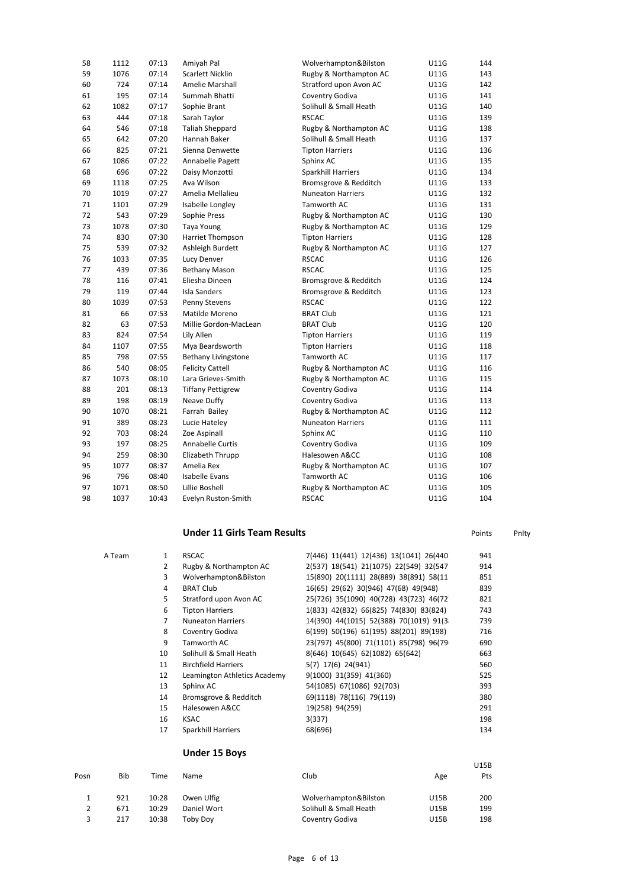| 58 | 1112 | 07:13 | Amiyah Pal               | Wolverhampton&Bilston    | <b>U11G</b> | 144 |
|----|------|-------|--------------------------|--------------------------|-------------|-----|
| 59 | 1076 | 07:14 | Scarlett Nicklin         | Rugby & Northampton AC   | <b>U11G</b> | 143 |
| 60 | 724  | 07:14 | Amelie Marshall          | Stratford upon Avon AC   | U11G        | 142 |
| 61 | 195  | 07:14 | Summah Bhatti            | Coventry Godiva          | U11G        | 141 |
| 62 | 1082 | 07:17 | Sophie Brant             | Solihull & Small Heath   | U11G        | 140 |
| 63 | 444  | 07:18 | Sarah Taylor             | <b>RSCAC</b>             | U11G        | 139 |
| 64 | 546  | 07:18 | <b>Taliah Sheppard</b>   | Rugby & Northampton AC   | U11G        | 138 |
| 65 | 642  | 07:20 | Hannah Baker             | Solihull & Small Heath   | U11G        | 137 |
| 66 | 825  | 07:21 | Sienna Denwette          | <b>Tipton Harriers</b>   | U11G        | 136 |
| 67 | 1086 | 07:22 | Annabelle Pagett         | Sphinx AC                | <b>U11G</b> | 135 |
| 68 | 696  | 07:22 | Daisy Monzotti           | Sparkhill Harriers       | U11G        | 134 |
| 69 | 1118 | 07:25 | Ava Wilson               | Bromsgrove & Redditch    | U11G        | 133 |
| 70 | 1019 | 07:27 | Amelia Mellalieu         | <b>Nuneaton Harriers</b> | <b>U11G</b> | 132 |
| 71 | 1101 | 07:29 | Isabelle Longley         | Tamworth AC              | U11G        | 131 |
| 72 | 543  | 07:29 | Sophie Press             | Rugby & Northampton AC   | U11G        | 130 |
| 73 | 1078 | 07:30 | Taya Young               | Rugby & Northampton AC   | U11G        | 129 |
| 74 | 830  | 07:30 | Harriet Thompson         | <b>Tipton Harriers</b>   | U11G        | 128 |
| 75 | 539  | 07:32 | Ashleigh Burdett         | Rugby & Northampton AC   | U11G        | 127 |
| 76 | 1033 | 07:35 | <b>Lucy Denver</b>       | <b>RSCAC</b>             | U11G        | 126 |
| 77 | 439  | 07:36 | <b>Bethany Mason</b>     | <b>RSCAC</b>             | U11G        | 125 |
| 78 | 116  | 07:41 | Eliesha Dineen           | Bromsgrove & Redditch    | U11G        | 124 |
| 79 | 119  | 07:44 | <b>Isla Sanders</b>      | Bromsgrove & Redditch    | U11G        | 123 |
| 80 | 1039 | 07:53 | Penny Stevens            | <b>RSCAC</b>             | U11G        | 122 |
| 81 | 66   | 07:53 | Matilde Moreno           | <b>BRAT Club</b>         | <b>U11G</b> | 121 |
| 82 | 63   | 07:53 | Millie Gordon-MacLean    | <b>BRAT Club</b>         | U11G        | 120 |
| 83 | 824  | 07:54 | Lily Allen               | <b>Tipton Harriers</b>   | <b>U11G</b> | 119 |
| 84 | 1107 | 07:55 | Mya Beardsworth          | <b>Tipton Harriers</b>   | U11G        | 118 |
| 85 | 798  | 07:55 | Bethany Livingstone      | Tamworth AC              | U11G        | 117 |
| 86 | 540  | 08:05 | <b>Felicity Cattell</b>  | Rugby & Northampton AC   | U11G        | 116 |
| 87 | 1073 | 08:10 | Lara Grieves-Smith       | Rugby & Northampton AC   | U11G        | 115 |
| 88 | 201  | 08:13 | <b>Tiffany Pettigrew</b> | Coventry Godiva          | U11G        | 114 |
| 89 | 198  | 08:19 | Neave Duffy              | Coventry Godiva          | U11G        | 113 |
| 90 | 1070 | 08:21 | Farrah Bailey            | Rugby & Northampton AC   | U11G        | 112 |
| 91 | 389  | 08:23 | Lucie Hateley            | <b>Nuneaton Harriers</b> | U11G        | 111 |
| 92 | 703  | 08:24 | Zoe Aspinall             | Sphinx AC                | U11G        | 110 |
| 93 | 197  | 08:25 | Annabelle Curtis         | Coventry Godiva          | U11G        | 109 |
| 94 | 259  | 08:30 | Elizabeth Thrupp         | Halesowen A&CC           | <b>U11G</b> | 108 |
| 95 | 1077 | 08:37 | Amelia Rex               | Rugby & Northampton AC   | U11G        | 107 |
| 96 | 796  | 08:40 | <b>Isabelle Evans</b>    | Tamworth AC              | U11G        | 106 |
| 97 | 1071 | 08:50 | Lillie Boshell           | Rugby & Northampton AC   | U11G        | 105 |
| 98 | 1037 | 10:43 | Evelyn Ruston-Smith      | <b>RSCAC</b>             | <b>U11G</b> | 104 |

# **Under 11 Girls Team Results Points** Points Pnlty

| A Team | 1  | <b>RSCAC</b>                 | 7(446) 11(441) 12(436) 13(1041) 26(440) | 941 |
|--------|----|------------------------------|-----------------------------------------|-----|
|        | 2  | Rugby & Northampton AC       | 2(537) 18(541) 21(1075) 22(549) 32(547  | 914 |
|        | 3  | Wolverhampton&Bilston        | 15(890) 20(1111) 28(889) 38(891) 58(11  | 851 |
|        | 4  | <b>BRAT Club</b>             | 16(65) 29(62) 30(946) 47(68) 49(948)    | 839 |
|        | 5  | Stratford upon Avon AC       | 25(726) 35(1090) 40(728) 43(723) 46(72) | 821 |
|        | 6  | <b>Tipton Harriers</b>       | 1(833) 42(832) 66(825) 74(830) 83(824)  | 743 |
|        | 7  | <b>Nuneaton Harriers</b>     | 14(390) 44(1015) 52(388) 70(1019) 91(3) | 739 |
|        | 8  | Coventry Godiva              | 6(199) 50(196) 61(195) 88(201) 89(198)  | 716 |
|        | 9  | Tamworth AC                  | 23(797) 45(800) 71(1101) 85(798) 96(79) | 690 |
|        | 10 | Solihull & Small Heath       | 8(646) 10(645) 62(1082) 65(642)         | 663 |
|        | 11 | <b>Birchfield Harriers</b>   | 5(7) 17(6) 24(941)                      | 560 |
|        | 12 | Leamington Athletics Academy | 9(1000) 31(359) 41(360)                 | 525 |
|        | 13 | Sphinx AC                    | 54(1085) 67(1086) 92(703)               | 393 |
|        | 14 | Bromsgrove & Redditch        | 69(1118) 78(116) 79(119)                | 380 |
|        | 15 | Halesowen A&CC               | 19(258) 94(259)                         | 291 |
|        | 16 | <b>KSAC</b>                  | 3(337)                                  | 198 |
|        | 17 | Sparkhill Harriers           | 68(696)                                 | 134 |
|        |    |                              |                                         |     |

### **Under 15 Boys**

| Posn | Bib | Time  | Name        | Club                   | Age         | U15B<br>Pts |
|------|-----|-------|-------------|------------------------|-------------|-------------|
|      | 921 | 10:28 | Owen Ulfig  | Wolverhampton&Bilston  | <b>U15B</b> | 200         |
|      | 671 | 10:29 | Daniel Wort | Solihull & Small Heath | <b>U15B</b> | 199         |
|      | 217 | 10:38 | Toby Dov    | Coventry Godiva        | <b>U15B</b> | 198         |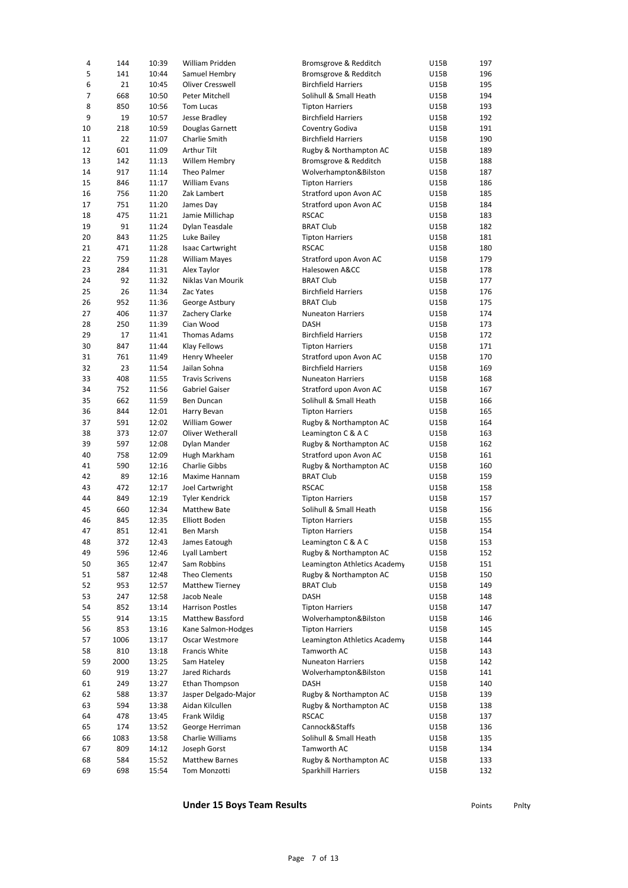| 4              | 144  | 10:39 | William Pridden         | Bromsgrove & Redditch        | U15B        | 197 |
|----------------|------|-------|-------------------------|------------------------------|-------------|-----|
| 5              | 141  | 10:44 | Samuel Hembry           | Bromsgrove & Redditch        | U15B        | 196 |
| 6              | 21   | 10:45 | Oliver Cresswell        | <b>Birchfield Harriers</b>   | U15B        | 195 |
| $\overline{7}$ | 668  | 10:50 | Peter Mitchell          | Solihull & Small Heath       | U15B        | 194 |
| 8              | 850  | 10:56 | <b>Tom Lucas</b>        | <b>Tipton Harriers</b>       | U15B        | 193 |
| 9              | 19   | 10:57 | Jesse Bradley           | <b>Birchfield Harriers</b>   | U15B        | 192 |
| 10             | 218  | 10:59 | Douglas Garnett         | Coventry Godiva              | U15B        | 191 |
| 11             | 22   | 11:07 | Charlie Smith           | <b>Birchfield Harriers</b>   | U15B        | 190 |
| 12             | 601  | 11:09 | Arthur Tilt             | Rugby & Northampton AC       | U15B        | 189 |
| 13             | 142  | 11:13 | Willem Hembry           | Bromsgrove & Redditch        | U15B        | 188 |
| 14             | 917  | 11:14 | Theo Palmer             | Wolverhampton&Bilston        | U15B        | 187 |
| 15             | 846  | 11:17 | <b>William Evans</b>    | <b>Tipton Harriers</b>       | <b>U15B</b> | 186 |
| 16             | 756  | 11:20 | Zak Lambert             | Stratford upon Avon AC       | U15B        | 185 |
| 17             | 751  | 11:20 | James Day               | Stratford upon Avon AC       | U15B        | 184 |
| 18             | 475  | 11:21 | Jamie Millichap         | <b>RSCAC</b>                 | U15B        | 183 |
| 19             | 91   | 11:24 | Dylan Teasdale          | <b>BRAT Club</b>             | U15B        | 182 |
| 20             | 843  | 11:25 | Luke Bailey             | <b>Tipton Harriers</b>       | U15B        | 181 |
| 21             | 471  | 11:28 | <b>Isaac Cartwright</b> | <b>RSCAC</b>                 | U15B        | 180 |
| 22             | 759  | 11:28 | <b>William Mayes</b>    | Stratford upon Avon AC       | U15B        | 179 |
| 23             | 284  | 11:31 | Alex Taylor             | Halesowen A&CC               | U15B        | 178 |
| 24             | 92   | 11:32 | Niklas Van Mourik       | <b>BRAT Club</b>             | U15B        | 177 |
| 25             | 26   | 11:34 | Zac Yates               | <b>Birchfield Harriers</b>   |             | 176 |
| 26             | 952  | 11:36 |                         | <b>BRAT Club</b>             | U15B        |     |
|                |      |       | George Astbury          |                              | U15B        | 175 |
| 27             | 406  | 11:37 | Zachery Clarke          | <b>Nuneaton Harriers</b>     | U15B        | 174 |
| 28             | 250  | 11:39 | Cian Wood               | <b>DASH</b>                  | U15B        | 173 |
| 29             | 17   | 11:41 | Thomas Adams            | <b>Birchfield Harriers</b>   | U15B        | 172 |
| 30             | 847  | 11:44 | <b>Klay Fellows</b>     | <b>Tipton Harriers</b>       | U15B        | 171 |
| 31             | 761  | 11:49 | Henry Wheeler           | Stratford upon Avon AC       | U15B        | 170 |
| 32             | 23   | 11:54 | Jailan Sohna            | <b>Birchfield Harriers</b>   | U15B        | 169 |
| 33             | 408  | 11:55 | <b>Travis Scrivens</b>  | <b>Nuneaton Harriers</b>     | U15B        | 168 |
| 34             | 752  | 11:56 | Gabriel Gaiser          | Stratford upon Avon AC       | U15B        | 167 |
| 35             | 662  | 11:59 | Ben Duncan              | Solihull & Small Heath       | U15B        | 166 |
| 36             | 844  | 12:01 | Harry Bevan             | <b>Tipton Harriers</b>       | U15B        | 165 |
| 37             | 591  | 12:02 | <b>William Gower</b>    | Rugby & Northampton AC       | U15B        | 164 |
| 38             | 373  | 12:07 | Oliver Wetherall        | Leamington C & A C           | U15B        | 163 |
| 39             | 597  | 12:08 | Dylan Mander            | Rugby & Northampton AC       | U15B        | 162 |
| 40             | 758  | 12:09 | Hugh Markham            | Stratford upon Avon AC       | U15B        | 161 |
| 41             | 590  | 12:16 | Charlie Gibbs           | Rugby & Northampton AC       | U15B        | 160 |
| 42             | 89   | 12:16 | Maxime Hannam           | <b>BRAT Club</b>             | U15B        | 159 |
| 43             | 472  | 12:17 | Joel Cartwright         | <b>RSCAC</b>                 | <b>U15B</b> | 158 |
| 44             | 849  | 12:19 | <b>Tyler Kendrick</b>   | <b>Tipton Harriers</b>       | U15B        | 157 |
| 45             | 660  | 12:34 | <b>Matthew Bate</b>     | Solihull & Small Heath       | U15B        | 156 |
| 46             | 845  | 12:35 | Elliott Boden           | <b>Tipton Harriers</b>       | U15B        | 155 |
| 47             | 851  | 12:41 | Ben Marsh               | <b>Tipton Harriers</b>       | <b>U15B</b> | 154 |
| 48             | 372  | 12:43 | James Eatough           | Leamington C & A C           | U15B        | 153 |
| 49             | 596  | 12:46 | Lyall Lambert           | Rugby & Northampton AC       | U15B        | 152 |
| 50             | 365  | 12:47 | Sam Robbins             | Leamington Athletics Academy | U15B        | 151 |
| 51             | 587  | 12:48 | Theo Clements           | Rugby & Northampton AC       | U15B        | 150 |
| 52             | 953  | 12:57 | <b>Matthew Tierney</b>  | <b>BRAT Club</b>             | U15B        | 149 |
| 53             | 247  | 12:58 | Jacob Neale             | DASH                         | U15B        | 148 |
| 54             | 852  | 13:14 | <b>Harrison Postles</b> | <b>Tipton Harriers</b>       | U15B        | 147 |
| 55             | 914  | 13:15 | Matthew Bassford        | Wolverhampton&Bilston        | U15B        | 146 |
| 56             | 853  | 13:16 | Kane Salmon-Hodges      | <b>Tipton Harriers</b>       | U15B        | 145 |
| 57             | 1006 | 13:17 | Oscar Westmore          | Leamington Athletics Academy | U15B        | 144 |
| 58             | 810  | 13:18 | Francis White           | Tamworth AC                  | U15B        | 143 |
| 59             |      |       |                         | <b>Nuneaton Harriers</b>     |             |     |
|                | 2000 | 13:25 | Sam Hateley             |                              | U15B        | 142 |
| 60             | 919  | 13:27 | Jared Richards          | Wolverhampton&Bilston        | U15B        | 141 |
| 61             | 249  | 13:27 | Ethan Thompson          | DASH                         | U15B        | 140 |
| 62             | 588  | 13:37 | Jasper Delgado-Major    | Rugby & Northampton AC       | U15B        | 139 |
| 63             | 594  | 13:38 | Aidan Kilcullen         | Rugby & Northampton AC       | U15B        | 138 |
| 64             | 478  | 13:45 | Frank Wildig            | <b>RSCAC</b>                 | U15B        | 137 |
| 65             | 174  | 13:52 | George Herriman         | Cannock&Staffs               | U15B        | 136 |
| 66             | 1083 | 13:58 | Charlie Williams        | Solihull & Small Heath       | U15B        | 135 |
| 67             | 809  | 14:12 | Joseph Gorst            | Tamworth AC                  | U15B        | 134 |
| 68             | 584  | 15:52 | <b>Matthew Barnes</b>   | Rugby & Northampton AC       | U15B        | 133 |
| 69             | 698  | 15:54 | Tom Monzotti            | Sparkhill Harriers           | U15B        | 132 |

## **Under 15 Boys Team Results Points** Points Points Philty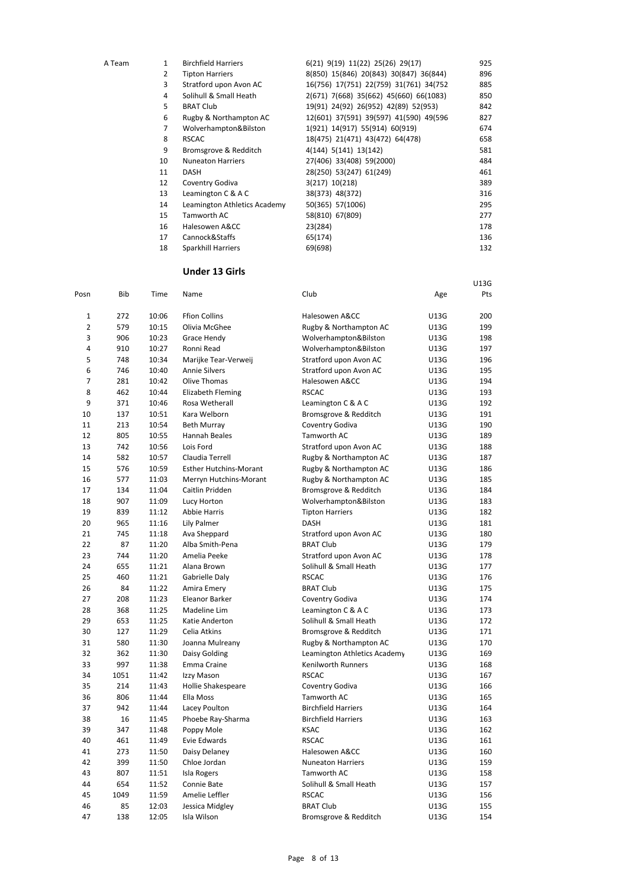| A Team | 1              | <b>Birchfield Harriers</b>   | 6(21) 9(19) 11(22) 25(26) 29(17)        | 925 |
|--------|----------------|------------------------------|-----------------------------------------|-----|
|        | $\overline{2}$ | <b>Tipton Harriers</b>       | 8(850) 15(846) 20(843) 30(847) 36(844)  | 896 |
|        | 3              | Stratford upon Avon AC       | 16(756) 17(751) 22(759) 31(761) 34(752) | 885 |
|        | 4              | Solihull & Small Heath       | 2(671) 7(668) 35(662) 45(660) 66(1083)  | 850 |
|        | 5              | <b>BRAT Club</b>             | 19(91) 24(92) 26(952) 42(89) 52(953)    | 842 |
|        | 6              | Rugby & Northampton AC       | 12(601) 37(591) 39(597) 41(590) 49(596  | 827 |
|        | 7              | Wolverhampton&Bilston        | 1(921) 14(917) 55(914) 60(919)          | 674 |
|        | 8              | <b>RSCAC</b>                 | 18(475) 21(471) 43(472) 64(478)         | 658 |
|        | 9              | Bromsgrove & Redditch        | 4(144) 5(141) 13(142)                   | 581 |
|        | 10             | <b>Nuneaton Harriers</b>     | 27(406) 33(408) 59(2000)                | 484 |
|        | 11             | <b>DASH</b>                  | 28(250) 53(247) 61(249)                 | 461 |
|        | 12             | Coventry Godiva              | 3(217) 10(218)                          | 389 |
|        | 13             | Leamington C & A C           | 38(373) 48(372)                         | 316 |
|        | 14             | Leamington Athletics Academy | 50(365) 57(1006)                        | 295 |
|        | 15             | Tamworth AC                  | 58(810) 67(809)                         | 277 |
|        | 16             | Halesowen A&CC               | 23(284)                                 | 178 |
|        | 17             | Cannock&Staffs               | 65(174)                                 | 136 |
|        | 18             | Sparkhill Harriers           | 69(698)                                 | 132 |

U13G

### **Under 13 Girls**

| Posn           | <b>Bib</b> | Time  | Name                          | Club                         | Age  | Pts |
|----------------|------------|-------|-------------------------------|------------------------------|------|-----|
| 1              | 272        | 10:06 | <b>Ffion Collins</b>          | Halesowen A&CC               | U13G | 200 |
| $\overline{2}$ | 579        | 10:15 | Olivia McGhee                 | Rugby & Northampton AC       | U13G | 199 |
| 3              | 906        | 10:23 | Grace Hendy                   | Wolverhampton&Bilston        | U13G | 198 |
| 4              | 910        | 10:27 | Ronni Read                    | Wolverhampton&Bilston        | U13G | 197 |
| 5              | 748        | 10:34 | Marijke Tear-Verweij          | Stratford upon Avon AC       | U13G | 196 |
| 6              | 746        | 10:40 | <b>Annie Silvers</b>          | Stratford upon Avon AC       | U13G | 195 |
| $\overline{7}$ | 281        | 10:42 | Olive Thomas                  | Halesowen A&CC               | U13G | 194 |
| 8              | 462        | 10:44 | <b>Elizabeth Fleming</b>      | <b>RSCAC</b>                 | U13G | 193 |
| 9              | 371        | 10:46 | Rosa Wetherall                | Leamington C & A C           | U13G | 192 |
| 10             | 137        | 10:51 | Kara Welborn                  | Bromsgrove & Redditch        | U13G | 191 |
| 11             | 213        | 10:54 | <b>Beth Murray</b>            | Coventry Godiva              | U13G | 190 |
| 12             | 805        | 10:55 | Hannah Beales                 | Tamworth AC                  | U13G | 189 |
| 13             | 742        | 10:56 | Lois Ford                     | Stratford upon Avon AC       | U13G | 188 |
| 14             | 582        | 10:57 | Claudia Terrell               | Rugby & Northampton AC       | U13G | 187 |
| 15             | 576        | 10:59 | <b>Esther Hutchins-Morant</b> | Rugby & Northampton AC       | U13G | 186 |
| 16             | 577        | 11:03 | Merryn Hutchins-Morant        | Rugby & Northampton AC       | U13G | 185 |
| 17             | 134        | 11:04 | Caitlin Pridden               | Bromsgrove & Redditch        | U13G | 184 |
| 18             | 907        | 11:09 | Lucy Horton                   | Wolverhampton&Bilston        | U13G | 183 |
| 19             | 839        | 11:12 | <b>Abbie Harris</b>           | <b>Tipton Harriers</b>       | U13G | 182 |
| 20             | 965        | 11:16 | Lily Palmer                   | DASH                         | U13G | 181 |
| 21             | 745        | 11:18 | Ava Sheppard                  | Stratford upon Avon AC       | U13G | 180 |
| 22             | 87         | 11:20 | Alba Smith-Pena               | <b>BRAT Club</b>             | U13G | 179 |
| 23             | 744        | 11:20 | Amelia Peeke                  | Stratford upon Avon AC       | U13G | 178 |
| 24             | 655        | 11:21 | Alana Brown                   | Solihull & Small Heath       | U13G | 177 |
| 25             | 460        | 11:21 | Gabrielle Daly                | <b>RSCAC</b>                 | U13G | 176 |
| 26             | 84         | 11:22 | Amira Emery                   | <b>BRAT Club</b>             | U13G | 175 |
| 27             | 208        | 11:23 | Eleanor Barker                | Coventry Godiva              | U13G | 174 |
| 28             | 368        | 11:25 | Madeline Lim                  | Leamington C & A C           | U13G | 173 |
| 29             | 653        | 11:25 | Katie Anderton                | Solihull & Small Heath       | U13G | 172 |
| 30             | 127        | 11:29 | Celia Atkins                  | Bromsgrove & Redditch        | U13G | 171 |
| 31             | 580        | 11:30 | Joanna Mulreany               | Rugby & Northampton AC       | U13G | 170 |
| 32             | 362        | 11:30 | Daisy Golding                 | Leamington Athletics Academy | U13G | 169 |
| 33             | 997        | 11:38 | Emma Craine                   | Kenilworth Runners           | U13G | 168 |
| 34             | 1051       | 11:42 | Izzy Mason                    | <b>RSCAC</b>                 | U13G | 167 |
| 35             | 214        | 11:43 | Hollie Shakespeare            | Coventry Godiva              | U13G | 166 |
| 36             | 806        | 11:44 | Ella Moss                     | Tamworth AC                  | U13G | 165 |
| 37             | 942        | 11:44 | Lacey Poulton                 | <b>Birchfield Harriers</b>   | U13G | 164 |
| 38             | 16         | 11:45 | Phoebe Ray-Sharma             | <b>Birchfield Harriers</b>   | U13G | 163 |
| 39             | 347        | 11:48 | Poppy Mole                    | <b>KSAC</b>                  | U13G | 162 |
| 40             | 461        | 11:49 | <b>Evie Edwards</b>           | <b>RSCAC</b>                 | U13G | 161 |
| 41             | 273        | 11:50 | Daisy Delaney                 | Halesowen A&CC               | U13G | 160 |
| 42             | 399        | 11:50 | Chloe Jordan                  | <b>Nuneaton Harriers</b>     | U13G | 159 |
| 43             | 807        | 11:51 | <b>Isla Rogers</b>            | Tamworth AC                  | U13G | 158 |
| 44             | 654        | 11:52 | Connie Bate                   | Solihull & Small Heath       | U13G | 157 |
| 45             | 1049       | 11:59 | Amelie Leffler                | <b>RSCAC</b>                 | U13G | 156 |
| 46             | 85         | 12:03 | Jessica Midgley               | <b>BRAT Club</b>             | U13G | 155 |
| 47             | 138        | 12:05 | Isla Wilson                   | Bromsgrove & Redditch        | U13G | 154 |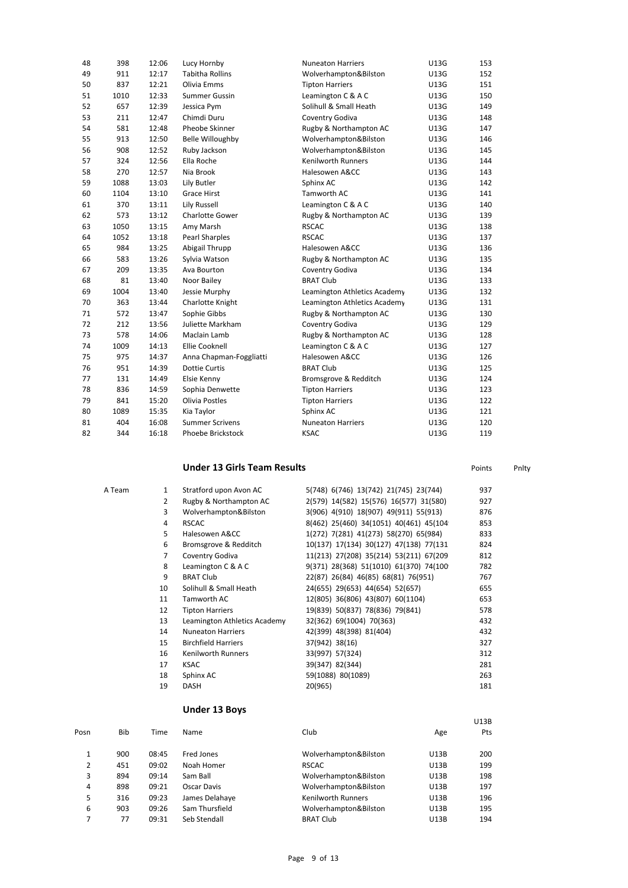| 48 | 398  | 12:06 | Lucy Hornby              | <b>Nuneaton Harriers</b>     | U13G        | 153 |
|----|------|-------|--------------------------|------------------------------|-------------|-----|
| 49 | 911  | 12:17 | <b>Tabitha Rollins</b>   | Wolverhampton&Bilston        | U13G        | 152 |
| 50 | 837  | 12:21 | Olivia Emms              | <b>Tipton Harriers</b>       | U13G        | 151 |
| 51 | 1010 | 12:33 | <b>Summer Gussin</b>     | Leamington C & A C           | U13G        | 150 |
| 52 | 657  | 12:39 | Jessica Pym              | Solihull & Small Heath       | U13G        | 149 |
| 53 | 211  | 12:47 | Chimdi Duru              | Coventry Godiva              | <b>U13G</b> | 148 |
| 54 | 581  | 12:48 | Pheobe Skinner           | Rugby & Northampton AC       | U13G        | 147 |
| 55 | 913  | 12:50 | <b>Belle Willoughby</b>  | Wolverhampton&Bilston        | U13G        | 146 |
| 56 | 908  | 12:52 | Ruby Jackson             | Wolverhampton&Bilston        | U13G        | 145 |
| 57 | 324  | 12:56 | Ella Roche               | <b>Kenilworth Runners</b>    | U13G        | 144 |
| 58 | 270  | 12:57 | Nia Brook                | Halesowen A&CC               | U13G        | 143 |
| 59 | 1088 | 13:03 | Lily Butler              | Sphinx AC                    | U13G        | 142 |
| 60 | 1104 | 13:10 | <b>Grace Hirst</b>       | Tamworth AC                  | U13G        | 141 |
| 61 | 370  | 13:11 | Lily Russell             | Leamington C & A C           | U13G        | 140 |
| 62 | 573  | 13:12 | Charlotte Gower          | Rugby & Northampton AC       | U13G        | 139 |
| 63 | 1050 | 13:15 | Amy Marsh                | <b>RSCAC</b>                 | U13G        | 138 |
| 64 | 1052 | 13:18 | <b>Pearl Sharples</b>    | <b>RSCAC</b>                 | U13G        | 137 |
| 65 | 984  | 13:25 | Abigail Thrupp           | Halesowen A&CC               | U13G        | 136 |
| 66 | 583  | 13:26 | Sylvia Watson            | Rugby & Northampton AC       | U13G        | 135 |
| 67 | 209  | 13:35 | Ava Bourton              | Coventry Godiva              | U13G        | 134 |
| 68 | 81   | 13:40 | Noor Bailey              | <b>BRAT Club</b>             | <b>U13G</b> | 133 |
| 69 | 1004 | 13:40 | Jessie Murphy            | Leamington Athletics Academy | U13G        | 132 |
| 70 | 363  | 13:44 | Charlotte Knight         | Leamington Athletics Academy | U13G        | 131 |
| 71 | 572  | 13:47 | Sophie Gibbs             | Rugby & Northampton AC       | U13G        | 130 |
| 72 | 212  | 13:56 | Juliette Markham         | Coventry Godiva              | U13G        | 129 |
| 73 | 578  | 14:06 | Maclain Lamb             | Rugby & Northampton AC       | U13G        | 128 |
| 74 | 1009 | 14:13 | <b>Ellie Cooknell</b>    | Leamington C & A C           | U13G        | 127 |
| 75 | 975  | 14:37 | Anna Chapman-Foggliatti  | Halesowen A&CC               | <b>U13G</b> | 126 |
| 76 | 951  | 14:39 | <b>Dottie Curtis</b>     | <b>BRAT Club</b>             | U13G        | 125 |
| 77 | 131  | 14:49 | Elsie Kenny              | Bromsgrove & Redditch        | U13G        | 124 |
| 78 | 836  | 14:59 | Sophia Denwette          | <b>Tipton Harriers</b>       | U13G        | 123 |
| 79 | 841  | 15:20 | <b>Olivia Postles</b>    | <b>Tipton Harriers</b>       | U13G        | 122 |
| 80 | 1089 | 15:35 | Kia Taylor               | Sphinx AC                    | U13G        | 121 |
| 81 | 404  | 16:08 | <b>Summer Scrivens</b>   | <b>Nuneaton Harriers</b>     | <b>U13G</b> | 120 |
| 82 | 344  | 16:18 | <b>Phoebe Brickstock</b> | <b>KSAC</b>                  | <b>U13G</b> | 119 |

## **Under 13 Girls Team Results Points** Points Points Phity

U13B

| A Team | 1              | Stratford upon Avon AC       | 5(748) 6(746) 13(742) 21(745) 23(744)   | 937 |
|--------|----------------|------------------------------|-----------------------------------------|-----|
|        | $\overline{2}$ | Rugby & Northampton AC       | 2(579) 14(582) 15(576) 16(577) 31(580)  | 927 |
|        | 3              | Wolverhampton&Bilston        | 3(906) 4(910) 18(907) 49(911) 55(913)   | 876 |
|        | 4              | <b>RSCAC</b>                 | 8(462) 25(460) 34(1051) 40(461) 45(104  | 853 |
|        | 5              | Halesowen A&CC               | 1(272) 7(281) 41(273) 58(270) 65(984)   | 833 |
|        | 6              | Bromsgrove & Redditch        | 10(137) 17(134) 30(127) 47(138) 77(131  | 824 |
|        | 7              | Coventry Godiva              | 11(213) 27(208) 35(214) 53(211) 67(209) | 812 |
|        | 8              | Leamington C & A C           | 9(371) 28(368) 51(1010) 61(370) 74(100  | 782 |
|        | 9              | <b>BRAT Club</b>             | 22(87) 26(84) 46(85) 68(81) 76(951)     | 767 |
|        | 10             | Solihull & Small Heath       | 24(655) 29(653) 44(654) 52(657)         | 655 |
|        | 11             | Tamworth AC                  | 12(805) 36(806) 43(807) 60(1104)        | 653 |
|        | 12             | <b>Tipton Harriers</b>       | 19(839) 50(837) 78(836) 79(841)         | 578 |
|        | 13             | Leamington Athletics Academy | 32(362) 69(1004) 70(363)                | 432 |
|        | 14             | <b>Nuneaton Harriers</b>     | 42(399) 48(398) 81(404)                 | 432 |
|        | 15             | <b>Birchfield Harriers</b>   | 37(942) 38(16)                          | 327 |
|        | 16             | Kenilworth Runners           | 33(997) 57(324)                         | 312 |
|        | 17             | <b>KSAC</b>                  | 39(347) 82(344)                         | 281 |
|        | 18             | Sphinx AC                    | 59(1088) 80(1089)                       | 263 |
|        | 19             | <b>DASH</b>                  | 20(965)                                 | 181 |
|        |                |                              |                                         |     |

### **Under 13 Boys**

| Posn | Bib | Time  | Name           | Club                      | Age         | Pts |
|------|-----|-------|----------------|---------------------------|-------------|-----|
| 1    | 900 | 08:45 | Fred Jones     | Wolverhampton&Bilston     | U13B        | 200 |
| 2    | 451 | 09:02 | Noah Homer     | <b>RSCAC</b>              | U13B        | 199 |
| 3    | 894 | 09:14 | Sam Ball       | Wolverhampton&Bilston     | U13B        | 198 |
| 4    | 898 | 09:21 | Oscar Davis    | Wolverhampton&Bilston     | <b>U13B</b> | 197 |
| 5    | 316 | 09:23 | James Delahaye | <b>Kenilworth Runners</b> | U13B        | 196 |
| 6    | 903 | 09:26 | Sam Thursfield | Wolverhampton&Bilston     | U13B        | 195 |
| 7    | 77  | 09:31 | Seb Stendall   | <b>BRAT Club</b>          | U13B        | 194 |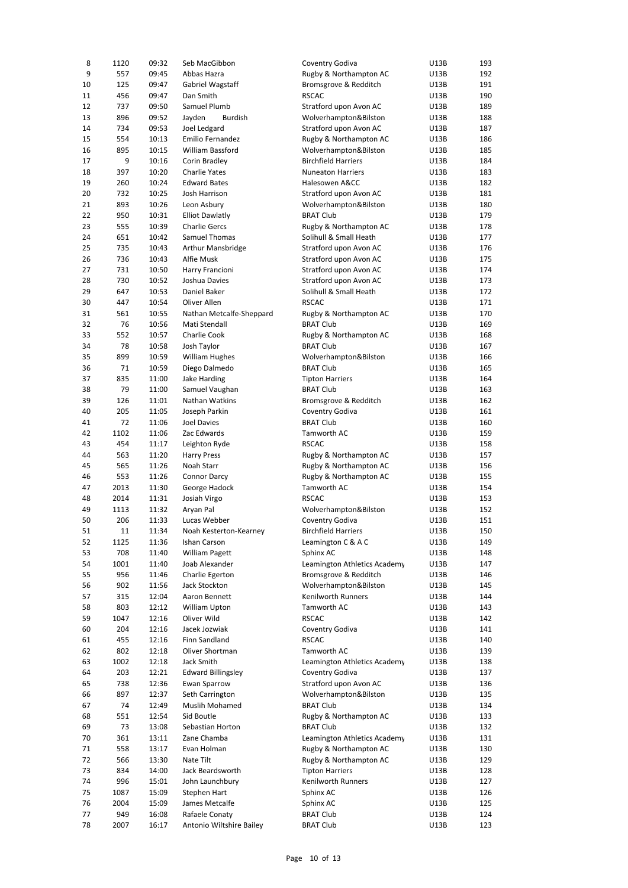| 8  | 1120 | 09:32 | Seb MacGibbon             | Coventry Godiva              | U13B | 193 |
|----|------|-------|---------------------------|------------------------------|------|-----|
| 9  | 557  | 09:45 | Abbas Hazra               | Rugby & Northampton AC       | U13B | 192 |
| 10 | 125  | 09:47 | Gabriel Wagstaff          | Bromsgrove & Redditch        | U13B | 191 |
|    |      |       |                           |                              |      |     |
| 11 | 456  | 09:47 | Dan Smith                 | <b>RSCAC</b>                 | U13B | 190 |
| 12 | 737  | 09:50 | Samuel Plumb              | Stratford upon Avon AC       | U13B | 189 |
| 13 | 896  | 09:52 | Jayden<br><b>Burdish</b>  | Wolverhampton&Bilston        | U13B | 188 |
| 14 | 734  | 09:53 | Joel Ledgard              | Stratford upon Avon AC       | U13B | 187 |
| 15 | 554  | 10:13 | Emilio Fernandez          | Rugby & Northampton AC       | U13B | 186 |
| 16 | 895  | 10:15 | William Bassford          | Wolverhampton&Bilston        | U13B | 185 |
| 17 | 9    | 10:16 | Corin Bradley             | <b>Birchfield Harriers</b>   | U13B | 184 |
|    |      |       |                           |                              |      |     |
| 18 | 397  | 10:20 | <b>Charlie Yates</b>      | <b>Nuneaton Harriers</b>     | U13B | 183 |
| 19 | 260  | 10:24 | <b>Edward Bates</b>       | Halesowen A&CC               | U13B | 182 |
| 20 | 732  | 10:25 | Josh Harrison             | Stratford upon Avon AC       | U13B | 181 |
| 21 | 893  | 10:26 | Leon Asbury               | Wolverhampton&Bilston        | U13B | 180 |
| 22 | 950  | 10:31 | <b>Elliot Dawlatly</b>    | <b>BRAT Club</b>             | U13B | 179 |
| 23 | 555  | 10:39 | <b>Charlie Gercs</b>      |                              | U13B | 178 |
|    |      |       |                           | Rugby & Northampton AC       |      |     |
| 24 | 651  | 10:42 | Samuel Thomas             | Solihull & Small Heath       | U13B | 177 |
| 25 | 735  | 10:43 | Arthur Mansbridge         | Stratford upon Avon AC       | U13B | 176 |
| 26 | 736  | 10:43 | Alfie Musk                | Stratford upon Avon AC       | U13B | 175 |
| 27 | 731  | 10:50 | Harry Francioni           | Stratford upon Avon AC       | U13B | 174 |
| 28 | 730  | 10:52 | Joshua Davies             | Stratford upon Avon AC       | U13B | 173 |
| 29 | 647  | 10:53 | Daniel Baker              | Solihull & Small Heath       | U13B | 172 |
|    |      |       |                           |                              |      |     |
| 30 | 447  | 10:54 | Oliver Allen              | <b>RSCAC</b>                 | U13B | 171 |
| 31 | 561  | 10:55 | Nathan Metcalfe-Sheppard  | Rugby & Northampton AC       | U13B | 170 |
| 32 | 76   | 10:56 | Mati Stendall             | <b>BRAT Club</b>             | U13B | 169 |
| 33 | 552  | 10:57 | Charlie Cook              | Rugby & Northampton AC       | U13B | 168 |
| 34 | 78   | 10:58 | Josh Taylor               | <b>BRAT Club</b>             | U13B | 167 |
| 35 | 899  | 10:59 | <b>William Hughes</b>     | Wolverhampton&Bilston        | U13B | 166 |
|    |      |       |                           |                              |      |     |
| 36 | 71   | 10:59 | Diego Dalmedo             | <b>BRAT Club</b>             | U13B | 165 |
| 37 | 835  | 11:00 | Jake Harding              | <b>Tipton Harriers</b>       | U13B | 164 |
| 38 | 79   | 11:00 | Samuel Vaughan            | <b>BRAT Club</b>             | U13B | 163 |
| 39 | 126  | 11:01 | Nathan Watkins            | Bromsgrove & Redditch        | U13B | 162 |
| 40 | 205  | 11:05 | Joseph Parkin             | Coventry Godiva              | U13B | 161 |
| 41 | 72   | 11:06 | <b>Joel Davies</b>        | <b>BRAT Club</b>             | U13B | 160 |
|    |      |       |                           |                              |      |     |
| 42 | 1102 | 11:06 | Zac Edwards               | Tamworth AC                  | U13B | 159 |
| 43 | 454  | 11:17 | Leighton Ryde             | <b>RSCAC</b>                 | U13B | 158 |
| 44 | 563  | 11:20 | <b>Harry Press</b>        | Rugby & Northampton AC       | U13B | 157 |
| 45 | 565  | 11:26 | Noah Starr                | Rugby & Northampton AC       | U13B | 156 |
| 46 | 553  | 11:26 | Connor Darcy              | Rugby & Northampton AC       | U13B | 155 |
| 47 | 2013 | 11:30 | George Hadock             | Tamworth AC                  | U13B | 154 |
|    |      |       |                           |                              |      |     |
| 48 | 2014 | 11:31 | Josiah Virgo              | <b>RSCAC</b>                 | U13B | 153 |
| 49 | 1113 | 11:32 | Aryan Pal                 | Wolverhampton&Bilston        | U13B | 152 |
| 50 | 206  | 11:33 | Lucas Webber              | Coventry Godiva              | U13B | 151 |
| 51 | 11   | 11:34 | Noah Kesterton-Kearney    | <b>Birchfield Harriers</b>   | U13B | 150 |
| 52 | 1125 | 11:36 | Ishan Carson              | Leamington C & A C           | U13B | 149 |
| 53 | 708  | 11:40 | William Pagett            | Sphinx AC                    | U13B | 148 |
|    |      |       |                           |                              |      |     |
| 54 | 1001 | 11:40 | Joab Alexander            | Leamington Athletics Academy | U13B | 147 |
| 55 | 956  | 11:46 | Charlie Egerton           | Bromsgrove & Redditch        | U13B | 146 |
| 56 | 902  | 11:56 | Jack Stockton             | Wolverhampton&Bilston        | U13B | 145 |
| 57 | 315  | 12:04 | Aaron Bennett             | Kenilworth Runners           | U13B | 144 |
| 58 | 803  | 12:12 | William Upton             | Tamworth AC                  | U13B | 143 |
| 59 | 1047 | 12:16 | Oliver Wild               | <b>RSCAC</b>                 | U13B | 142 |
|    |      |       |                           | Coventry Godiva              |      |     |
| 60 | 204  | 12:16 | Jacek Jozwiak             |                              | U13B | 141 |
| 61 | 455  | 12:16 | Finn Sandland             | <b>RSCAC</b>                 | U13B | 140 |
| 62 | 802  | 12:18 | Oliver Shortman           | Tamworth AC                  | U13B | 139 |
| 63 | 1002 | 12:18 | Jack Smith                | Leamington Athletics Academy | U13B | 138 |
| 64 | 203  | 12:21 | <b>Edward Billingsley</b> | Coventry Godiva              | U13B | 137 |
| 65 | 738  | 12:36 | <b>Ewan Sparrow</b>       | Stratford upon Avon AC       | U13B | 136 |
|    |      |       |                           |                              |      |     |
| 66 | 897  | 12:37 | Seth Carrington           | Wolverhampton&Bilston        | U13B | 135 |
| 67 | 74   | 12:49 | Muslih Mohamed            | <b>BRAT Club</b>             | U13B | 134 |
| 68 | 551  | 12:54 | Sid Boutle                | Rugby & Northampton AC       | U13B | 133 |
| 69 | 73   | 13:08 | Sebastian Horton          | <b>BRAT Club</b>             | U13B | 132 |
| 70 | 361  | 13:11 | Zane Chamba               | Leamington Athletics Academy | U13B | 131 |
| 71 | 558  | 13:17 | Evan Holman               | Rugby & Northampton AC       | U13B | 130 |
| 72 | 566  | 13:30 | Nate Tilt                 | Rugby & Northampton AC       | U13B | 129 |
|    |      |       |                           |                              |      |     |
| 73 | 834  | 14:00 | Jack Beardsworth          | <b>Tipton Harriers</b>       | U13B | 128 |
| 74 | 996  | 15:01 | John Launchbury           | Kenilworth Runners           | U13B | 127 |
| 75 | 1087 | 15:09 | Stephen Hart              | Sphinx AC                    | U13B | 126 |
| 76 | 2004 | 15:09 | James Metcalfe            | Sphinx AC                    | U13B | 125 |
| 77 | 949  | 16:08 | Rafaele Conaty            | <b>BRAT Club</b>             | U13B | 124 |
| 78 | 2007 | 16:17 | Antonio Wiltshire Bailey  | <b>BRAT Club</b>             | U13B | 123 |
|    |      |       |                           |                              |      |     |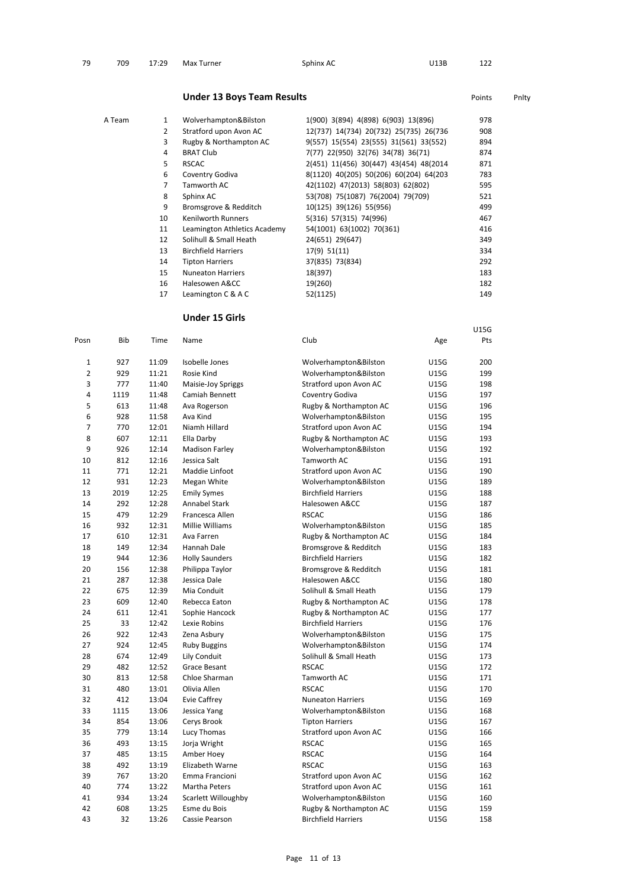| 79 | 709 | 17:29 Max Turner | Sphinx AC | U13B | 122 |
|----|-----|------------------|-----------|------|-----|
|    |     |                  |           |      |     |

# **Under 13 Boys Team Results Points** Points Points Philty

| A Team | 1              | Wolverhampton&Bilston        | 1(900) 3(894) 4(898) 6(903) 13(896)     | 978 |
|--------|----------------|------------------------------|-----------------------------------------|-----|
|        | $\overline{2}$ | Stratford upon Avon AC       | 12(737) 14(734) 20(732) 25(735) 26(736) | 908 |
|        | 3              | Rugby & Northampton AC       | 9(557) 15(554) 23(555) 31(561) 33(552)  | 894 |
|        | 4              | <b>BRAT Club</b>             | 7(77) 22(950) 32(76) 34(78) 36(71)      | 874 |
|        | 5              | <b>RSCAC</b>                 | 2(451) 11(456) 30(447) 43(454) 48(2014  | 871 |
|        | 6              | Coventry Godiva              | 8(1120) 40(205) 50(206) 60(204) 64(203) | 783 |
|        | 7              | Tamworth AC                  | 42(1102) 47(2013) 58(803) 62(802)       | 595 |
|        | 8              | Sphinx AC                    | 53(708) 75(1087) 76(2004) 79(709)       | 521 |
|        | 9              | Bromsgrove & Redditch        | 10(125) 39(126) 55(956)                 | 499 |
|        | 10             | <b>Kenilworth Runners</b>    | 5(316) 57(315) 74(996)                  | 467 |
|        | 11             | Leamington Athletics Academy | 54(1001) 63(1002) 70(361)               | 416 |
|        | 12             | Solihull & Small Heath       | 24(651) 29(647)                         | 349 |
|        | 13             | <b>Birchfield Harriers</b>   | 17(9) 51(11)                            | 334 |
|        | 14             | <b>Tipton Harriers</b>       | 37(835) 73(834)                         | 292 |
|        | 15             | <b>Nuneaton Harriers</b>     | 18(397)                                 | 183 |
|        | 16             | Halesowen A&CC               | 19(260)                                 | 182 |
|        | 17             | Leamington C & A C           | 52(1125)                                | 149 |
|        |                |                              |                                         |     |

U15G

### **Under 15 Girls**

| Posn           | <b>Bib</b> | Time  | Name                  | Club                       | Age         | Pts |
|----------------|------------|-------|-----------------------|----------------------------|-------------|-----|
| 1              | 927        | 11:09 | Isobelle Jones        | Wolverhampton&Bilston      | <b>U15G</b> | 200 |
| $\overline{2}$ | 929        | 11:21 | Rosie Kind            | Wolverhampton&Bilston      | <b>U15G</b> | 199 |
| 3              | 777        | 11:40 | Maisie-Joy Spriggs    | Stratford upon Avon AC     | <b>U15G</b> | 198 |
| 4              | 1119       | 11:48 | Camiah Bennett        | Coventry Godiva            | <b>U15G</b> | 197 |
| 5              | 613        | 11:48 | Ava Rogerson          | Rugby & Northampton AC     | U15G        | 196 |
| 6              | 928        | 11:58 | Ava Kind              | Wolverhampton&Bilston      | U15G        | 195 |
| 7              | 770        | 12:01 | Niamh Hillard         | Stratford upon Avon AC     | <b>U15G</b> | 194 |
| 8              | 607        | 12:11 | Ella Darby            | Rugby & Northampton AC     | U15G        | 193 |
| 9              | 926        | 12:14 | <b>Madison Farley</b> | Wolverhampton&Bilston      | U15G        | 192 |
| 10             | 812        | 12:16 | Jessica Salt          | Tamworth AC                | <b>U15G</b> | 191 |
| 11             | 771        | 12:21 | Maddie Linfoot        | Stratford upon Avon AC     | <b>U15G</b> | 190 |
| 12             | 931        | 12:23 | Megan White           | Wolverhampton&Bilston      | <b>U15G</b> | 189 |
| 13             | 2019       | 12:25 | <b>Emily Symes</b>    | <b>Birchfield Harriers</b> | <b>U15G</b> | 188 |
| 14             | 292        | 12:28 | Annabel Stark         | Halesowen A&CC             | U15G        | 187 |
| 15             | 479        | 12:29 | Francesca Allen       | <b>RSCAC</b>               | <b>U15G</b> | 186 |
| 16             | 932        | 12:31 | Millie Williams       | Wolverhampton&Bilston      | U15G        | 185 |
| 17             | 610        | 12:31 | Ava Farren            | Rugby & Northampton AC     | U15G        | 184 |
| 18             | 149        | 12:34 | Hannah Dale           | Bromsgrove & Redditch      | U15G        | 183 |
| 19             | 944        | 12:36 | <b>Holly Saunders</b> | <b>Birchfield Harriers</b> | U15G        | 182 |
| 20             | 156        | 12:38 | Philippa Taylor       | Bromsgrove & Redditch      | <b>U15G</b> | 181 |
| 21             | 287        | 12:38 | Jessica Dale          | Halesowen A&CC             | <b>U15G</b> | 180 |
| 22             | 675        | 12:39 | Mia Conduit           | Solihull & Small Heath     | <b>U15G</b> | 179 |
| 23             | 609        | 12:40 | Rebecca Eaton         | Rugby & Northampton AC     | U15G        | 178 |
| 24             | 611        | 12:41 | Sophie Hancock        | Rugby & Northampton AC     | <b>U15G</b> | 177 |
| 25             | 33         | 12:42 | Lexie Robins          | <b>Birchfield Harriers</b> | U15G        | 176 |
| 26             | 922        | 12:43 | Zena Asbury           | Wolverhampton&Bilston      | U15G        | 175 |
| 27             | 924        | 12:45 | <b>Ruby Buggins</b>   | Wolverhampton&Bilston      | <b>U15G</b> | 174 |
| 28             | 674        | 12:49 | Lily Conduit          | Solihull & Small Heath     | U15G        | 173 |
| 29             | 482        | 12:52 | Grace Besant          | <b>RSCAC</b>               | U15G        | 172 |
| 30             | 813        | 12:58 | Chloe Sharman         | Tamworth AC                | <b>U15G</b> | 171 |
| 31             | 480        | 13:01 | Olivia Allen          | <b>RSCAC</b>               | <b>U15G</b> | 170 |
| 32             | 412        | 13:04 | Evie Caffrey          | <b>Nuneaton Harriers</b>   | <b>U15G</b> | 169 |
| 33             | 1115       | 13:06 | Jessica Yang          | Wolverhampton&Bilston      | <b>U15G</b> | 168 |
| 34             | 854        | 13:06 | Cerys Brook           | <b>Tipton Harriers</b>     | U15G        | 167 |
| 35             | 779        | 13:14 | Lucy Thomas           | Stratford upon Avon AC     | <b>U15G</b> | 166 |
| 36             | 493        | 13:15 | Jorja Wright          | <b>RSCAC</b>               | <b>U15G</b> | 165 |
| 37             | 485        | 13:15 | Amber Hoey            | <b>RSCAC</b>               | U15G        | 164 |
| 38             | 492        | 13:19 | Elizabeth Warne       | <b>RSCAC</b>               | <b>U15G</b> | 163 |
| 39             | 767        | 13:20 | Emma Francioni        | Stratford upon Avon AC     | <b>U15G</b> | 162 |
| 40             | 774        | 13:22 | Martha Peters         | Stratford upon Avon AC     | U15G        | 161 |
| 41             | 934        | 13:24 | Scarlett Willoughby   | Wolverhampton&Bilston      | U15G        | 160 |
| 42             | 608        | 13:25 | Esme du Bois          | Rugby & Northampton AC     | U15G        | 159 |
| 43             | 32         | 13:26 | Cassie Pearson        | <b>Birchfield Harriers</b> | U15G        | 158 |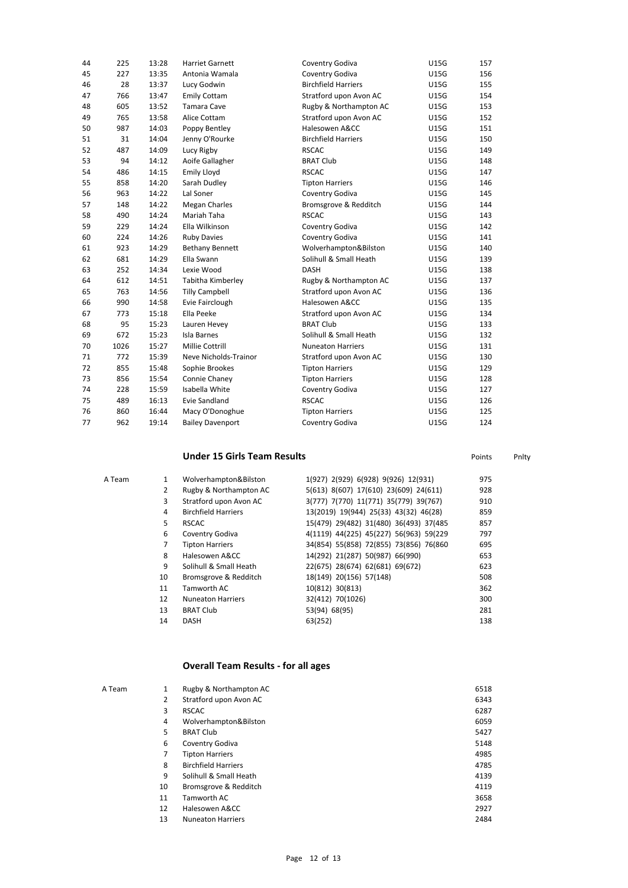| 44 | 225  | 13:28 | <b>Harriet Garnett</b>  | Coventry Godiva            | <b>U15G</b> | 157 |
|----|------|-------|-------------------------|----------------------------|-------------|-----|
| 45 | 227  | 13:35 | Antonia Wamala          | Coventry Godiva            | U15G        | 156 |
| 46 | 28   | 13:37 | Lucy Godwin             | <b>Birchfield Harriers</b> | U15G        | 155 |
| 47 | 766  | 13:47 | <b>Emily Cottam</b>     | Stratford upon Avon AC     | U15G        | 154 |
| 48 | 605  | 13:52 | <b>Tamara Cave</b>      | Rugby & Northampton AC     | U15G        | 153 |
| 49 | 765  | 13:58 | Alice Cottam            | Stratford upon Avon AC     | U15G        | 152 |
| 50 | 987  | 14:03 | Poppy Bentley           | Halesowen A&CC             | U15G        | 151 |
| 51 | 31   | 14:04 | Jenny O'Rourke          | <b>Birchfield Harriers</b> | U15G        | 150 |
| 52 | 487  | 14:09 | Lucy Rigby              | <b>RSCAC</b>               | U15G        | 149 |
| 53 | 94   | 14:12 | Aoife Gallagher         | <b>BRAT Club</b>           | U15G        | 148 |
| 54 | 486  | 14:15 | <b>Emily Lloyd</b>      | <b>RSCAC</b>               | <b>U15G</b> | 147 |
| 55 | 858  | 14:20 | Sarah Dudley            | <b>Tipton Harriers</b>     | <b>U15G</b> | 146 |
| 56 | 963  | 14:22 | Lal Soner               | Coventry Godiva            | <b>U15G</b> | 145 |
| 57 | 148  | 14:22 | <b>Megan Charles</b>    | Bromsgrove & Redditch      | U15G        | 144 |
| 58 | 490  | 14:24 | Mariah Taha             | <b>RSCAC</b>               | <b>U15G</b> | 143 |
| 59 | 229  | 14:24 | Ella Wilkinson          | Coventry Godiva            | U15G        | 142 |
| 60 | 224  | 14:26 | <b>Ruby Davies</b>      | Coventry Godiva            | <b>U15G</b> | 141 |
| 61 | 923  | 14:29 | <b>Bethany Bennett</b>  | Wolverhampton&Bilston      | U15G        | 140 |
| 62 | 681  | 14:29 | Ella Swann              | Solihull & Small Heath     | U15G        | 139 |
| 63 | 252  | 14:34 | Lexie Wood              | <b>DASH</b>                | U15G        | 138 |
| 64 | 612  | 14:51 | Tabitha Kimberley       | Rugby & Northampton AC     | U15G        | 137 |
| 65 | 763  | 14:56 | <b>Tilly Campbell</b>   | Stratford upon Avon AC     | U15G        | 136 |
| 66 | 990  | 14:58 | Evie Fairclough         | Halesowen A&CC             | U15G        | 135 |
| 67 | 773  | 15:18 | Ella Peeke              | Stratford upon Avon AC     | <b>U15G</b> | 134 |
| 68 | 95   | 15:23 | Lauren Hevey            | <b>BRAT Club</b>           | U15G        | 133 |
| 69 | 672  | 15:23 | Isla Barnes             | Solihull & Small Heath     | U15G        | 132 |
| 70 | 1026 | 15:27 | <b>Millie Cottrill</b>  | <b>Nuneaton Harriers</b>   | U15G        | 131 |
| 71 | 772  | 15:39 | Neve Nicholds-Trainor   | Stratford upon Avon AC     | U15G        | 130 |
| 72 | 855  | 15:48 | Sophie Brookes          | <b>Tipton Harriers</b>     | U15G        | 129 |
| 73 | 856  | 15:54 | Connie Chaney           | <b>Tipton Harriers</b>     | U15G        | 128 |
| 74 | 228  | 15:59 | Isabella White          | Coventry Godiva            | <b>U15G</b> | 127 |
| 75 | 489  | 16:13 | <b>Evie Sandland</b>    | <b>RSCAC</b>               | U15G        | 126 |
| 76 | 860  | 16:44 | Macy O'Donoghue         | <b>Tipton Harriers</b>     | U15G        | 125 |
| 77 | 962  | 19:14 | <b>Bailey Davenport</b> | Coventry Godiva            | <b>U15G</b> | 124 |

# **Under 15 Girls Team Results Points** Points Points Philty

| A Team |    | Wolverhampton&Bilston      | 1(927) 2(929) 6(928) 9(926) 12(931)     | 975 |
|--------|----|----------------------------|-----------------------------------------|-----|
|        | 2  | Rugby & Northampton AC     | 5(613) 8(607) 17(610) 23(609) 24(611)   | 928 |
|        | 3  | Stratford upon Avon AC     | 3(777) 7(770) 11(771) 35(779) 39(767)   | 910 |
|        | 4  | <b>Birchfield Harriers</b> | 13(2019) 19(944) 25(33) 43(32) 46(28)   | 859 |
|        | 5  | <b>RSCAC</b>               | 15(479) 29(482) 31(480) 36(493) 37(485) | 857 |
|        | 6  | Coventry Godiva            | 4(1119) 44(225) 45(227) 56(963) 59(229) | 797 |
|        |    | <b>Tipton Harriers</b>     | 34(854) 55(858) 72(855) 73(856) 76(860) | 695 |
|        | 8  | Halesowen A&CC             | 14(292) 21(287) 50(987) 66(990)         | 653 |
|        | 9  | Solihull & Small Heath     | 22(675) 28(674) 62(681) 69(672)         | 623 |
|        | 10 | Bromsgrove & Redditch      | 18(149) 20(156) 57(148)                 | 508 |
|        | 11 | Tamworth AC                | 10(812) 30(813)                         | 362 |
|        | 12 | <b>Nuneaton Harriers</b>   | 32(412) 70(1026)                        | 300 |
|        | 13 | <b>BRAT Club</b>           | 53(94) 68(95)                           | 281 |
|        | 14 | <b>DASH</b>                | 63(252)                                 | 138 |
|        |    |                            |                                         |     |

# **Overall Team Results - for all ages**

| 1              | Rugby & Northampton AC     | 6518 |
|----------------|----------------------------|------|
| $\overline{2}$ | Stratford upon Avon AC     | 6343 |
| 3              | <b>RSCAC</b>               | 6287 |
| 4              | Wolverhampton&Bilston      | 6059 |
| 5              | <b>BRAT Club</b>           | 5427 |
| 6              | Coventry Godiva            | 5148 |
| 7              | <b>Tipton Harriers</b>     | 4985 |
| 8              | <b>Birchfield Harriers</b> | 4785 |
| 9              | Solihull & Small Heath     | 4139 |
| 10             | Bromsgrove & Redditch      | 4119 |
| 11             | Tamworth AC                | 3658 |
| 12             | Halesowen A&CC             | 2927 |
| 13             | <b>Nuneaton Harriers</b>   | 2484 |
|                |                            |      |